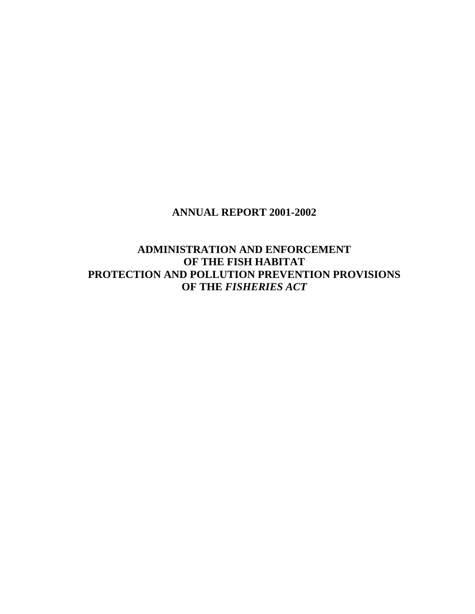### **ANNUAL REPORT 2001-2002**

**ADMINISTRATION AND ENFORCEMENT OF THE FISH HABITAT PROTECTION AND POLLUTION PREVENTION PROVISIONS OF THE** *FISHERIES ACT*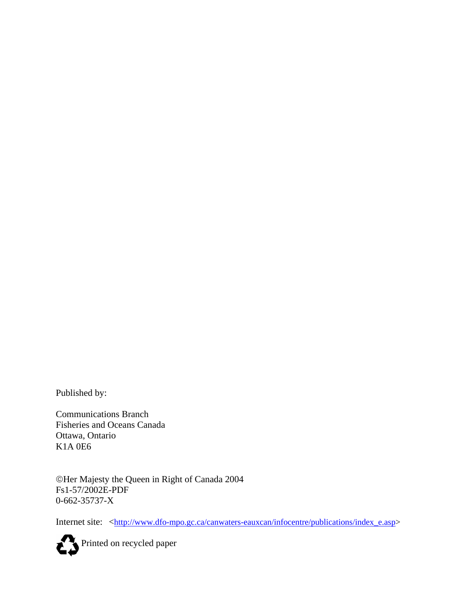Published by:

Communications Branch Fisheries and Oceans Canada Ottawa, Ontario K1A 0E6

©Her Majesty the Queen in Right of Canada 2004 Fs1-57/2002E-PDF 0-662-35737-X

Internet site: <<u>http://www.dfo-mpo.gc.ca/canwaters-eauxcan/infocentre/publications/index\_e.asp</u>>

Printed on recycled paper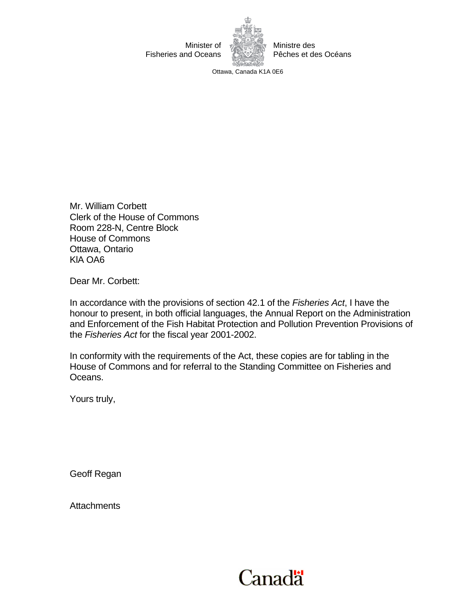

Ottawa, Canada K1A 0E6

Mr. William Corbett Clerk of the House of Commons Room 228-N, Centre Block House of Commons Ottawa, Ontario KlA OA6

Dear Mr. Corbett:

In accordance with the provisions of section 42.1 of the *Fisheries Act*, I have the honour to present, in both official languages, the Annual Report on the Administration and Enforcement of the Fish Habitat Protection and Pollution Prevention Provisions of the *Fisheries Act* for the fiscal year 2001-2002.

In conformity with the requirements of the Act, these copies are for tabling in the House of Commons and for referral to the Standing Committee on Fisheries and Oceans.

Yours truly,

Geoff Regan

**Attachments** 

# Canadä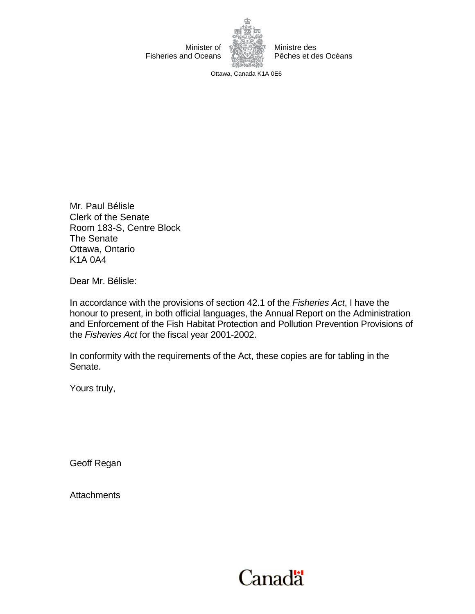

Ministre des Pêches et des Océans

Ottawa, Canada K1A 0E6

Mr. Paul Bélisle Clerk of the Senate Room 183-S, Centre Block The Senate Ottawa, Ontario K1A 0A4

Dear Mr. Bélisle:

In accordance with the provisions of section 42.1 of the *Fisheries Act*, I have the honour to present, in both official languages, the Annual Report on the Administration and Enforcement of the Fish Habitat Protection and Pollution Prevention Provisions of the *Fisheries Act* for the fiscal year 2001-2002.

In conformity with the requirements of the Act, these copies are for tabling in the Senate.

Yours truly,

Geoff Regan

**Attachments** 

# **Canadä**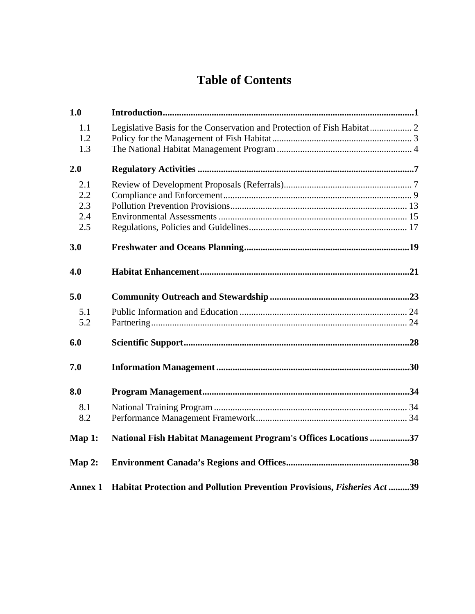## **Table of Contents**

| 1.0            |                                                                          |  |
|----------------|--------------------------------------------------------------------------|--|
| 1.1<br>1.2     | Legislative Basis for the Conservation and Protection of Fish Habitat  2 |  |
| 1.3            |                                                                          |  |
| 2.0            |                                                                          |  |
| 2.1            |                                                                          |  |
| 2.2            |                                                                          |  |
| 2.3            |                                                                          |  |
| 2.4<br>2.5     |                                                                          |  |
|                |                                                                          |  |
| 3.0            |                                                                          |  |
| 4.0            |                                                                          |  |
| 5.0            |                                                                          |  |
| 5.1            |                                                                          |  |
| 5.2            |                                                                          |  |
| 6.0            |                                                                          |  |
| 7.0            |                                                                          |  |
| 8.0            |                                                                          |  |
| 8.1            |                                                                          |  |
| 8.2            |                                                                          |  |
| Map 1:         | National Fish Habitat Management Program's Offices Locations 37          |  |
| Map $2:$       |                                                                          |  |
| <b>Annex 1</b> | Habitat Protection and Pollution Prevention Provisions, Fisheries Act 39 |  |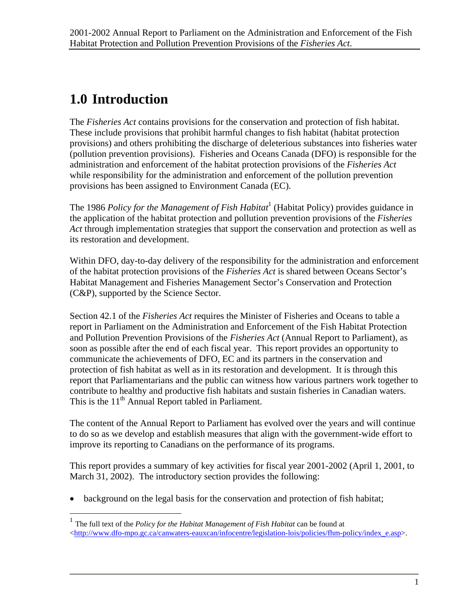## <span id="page-8-0"></span>**1.0 Introduction**

 $\overline{a}$ 

The *Fisheries Act* contains provisions for the conservation and protection of fish habitat. These include provisions that prohibit harmful changes to fish habitat (habitat protection provisions) and others prohibiting the discharge of deleterious substances into fisheries water (pollution prevention provisions). Fisheries and Oceans Canada (DFO) is responsible for the administration and enforcement of the habitat protection provisions of the *Fisheries Act* while responsibility for the administration and enforcement of the pollution prevention provisions has been assigned to Environment Canada (EC).

The [1](#page-8-1)986 *Policy for the Management of Fish Habitat*<sup>1</sup> (Habitat Policy) provides guidance in the application of the habitat protection and pollution prevention provisions of the *Fisheries Act* through implementation strategies that support the conservation and protection as well as its restoration and development.

Within DFO, day-to-day delivery of the responsibility for the administration and enforcement of the habitat protection provisions of the *Fisheries Act* is shared between Oceans Sector's Habitat Management and Fisheries Management Sector's Conservation and Protection (C&P), supported by the Science Sector.

Section 42.1 of the *Fisheries Act* requires the Minister of Fisheries and Oceans to table a report in Parliament on the Administration and Enforcement of the Fish Habitat Protection and Pollution Prevention Provisions of the *Fisheries Act* (Annual Report to Parliament), as soon as possible after the end of each fiscal year. This report provides an opportunity to communicate the achievements of DFO, EC and its partners in the conservation and protection of fish habitat as well as in its restoration and development. It is through this report that Parliamentarians and the public can witness how various partners work together to contribute to healthy and productive fish habitats and sustain fisheries in Canadian waters. This is the 11<sup>th</sup> Annual Report tabled in Parliament.

The content of the Annual Report to Parliament has evolved over the years and will continue to do so as we develop and establish measures that align with the government-wide effort to improve its reporting to Canadians on the performance of its programs.

This report provides a summary of key activities for fiscal year 2001-2002 (April 1, 2001, to March 31, 2002). The introductory section provides the following:

• background on the legal basis for the conservation and protection of fish habitat;

<span id="page-8-1"></span><sup>1</sup> The full text of the *Policy for the Habitat Management of Fish Habitat* can be found at  $\langle$ [http://www.dfo-mpo.gc.ca/canwaters-eauxcan/infocentre/legislation-lois/policies/fhm-policy/index\\_e.asp](http://www.dfo-mpo.gc.ca/canwaters-eauxcan/infocentre/legislation-lois/policies/fhm-policy/index_e.asp)>.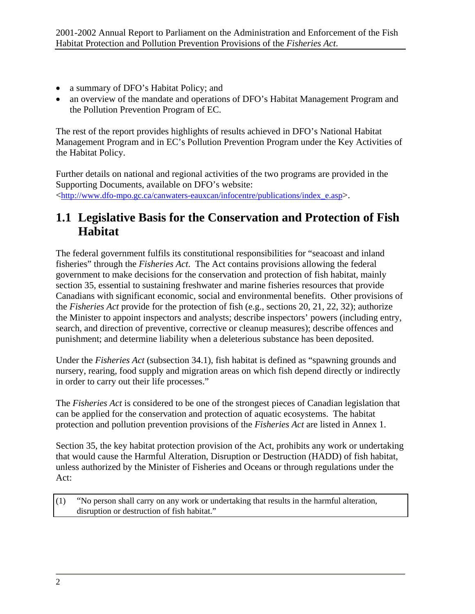- <span id="page-9-0"></span>• a summary of DFO's Habitat Policy; and
- an overview of the mandate and operations of DFO's Habitat Management Program and the Pollution Prevention Program of EC.

The rest of the report provides highlights of results achieved in DFO's National Habitat Management Program and in EC's Pollution Prevention Program under the Key Activities of the Habitat Policy.

Further details on national and regional activities of the two programs are provided in the Supporting Documents, available on DFO's website: <[http://www.dfo-mpo.gc.ca/canwaters-eauxcan/infocentre/publications/index\\_e.asp>](http://www.dfo-mpo.gc.ca/canwaters-eauxcan/infocentre/publications/index_e.asp).

## **1.1 Legislative Basis for the Conservation and Protection of Fish Habitat**

The federal government fulfils its constitutional responsibilities for "seacoast and inland fisheries" through the *Fisheries Act*. The Act contains provisions allowing the federal government to make decisions for the conservation and protection of fish habitat, mainly section 35, essential to sustaining freshwater and marine fisheries resources that provide Canadians with significant economic, social and environmental benefits. Other provisions of the *Fisheries Act* provide for the protection of fish (e.g., sections 20, 21, 22, 32); authorize the Minister to appoint inspectors and analysts; describe inspectors' powers (including entry, search, and direction of preventive, corrective or cleanup measures); describe offences and punishment; and determine liability when a deleterious substance has been deposited.

Under the *Fisheries Act* (subsection 34.1), fish habitat is defined as "spawning grounds and nursery, rearing, food supply and migration areas on which fish depend directly or indirectly in order to carry out their life processes."

The *Fisheries Act* is considered to be one of the strongest pieces of Canadian legislation that can be applied for the conservation and protection of aquatic ecosystems. The habitat protection and pollution prevention provisions of the *Fisheries Act* are listed in Annex 1.

Section 35, the key habitat protection provision of the Act, prohibits any work or undertaking that would cause the Harmful Alteration, Disruption or Destruction (HADD) of fish habitat, unless authorized by the Minister of Fisheries and Oceans or through regulations under the Act:

(1) "No person shall carry on any work or undertaking that results in the harmful alteration, disruption or destruction of fish habitat."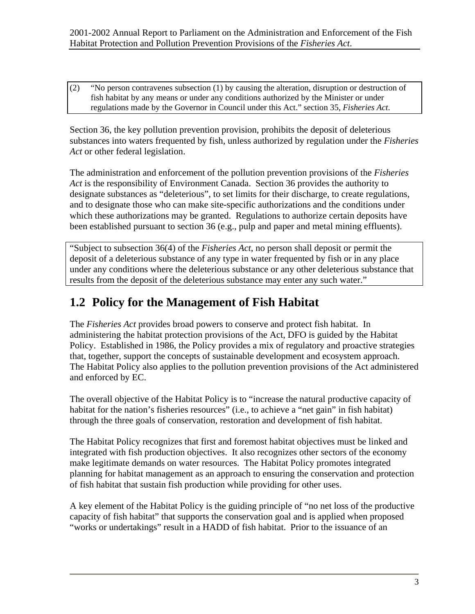<span id="page-10-0"></span>(2) "No person contravenes subsection (1) by causing the alteration, disruption or destruction of fish habitat by any means or under any conditions authorized by the Minister or under regulations made by the Governor in Council under this Act." section 35, *Fisheries Act*.

Section 36, the key pollution prevention provision, prohibits the deposit of deleterious substances into waters frequented by fish, unless authorized by regulation under the *Fisheries Act* or other federal legislation.

The administration and enforcement of the pollution prevention provisions of the *Fisheries Act* is the responsibility of Environment Canada. Section 36 provides the authority to designate substances as "deleterious", to set limits for their discharge, to create regulations, and to designate those who can make site-specific authorizations and the conditions under which these authorizations may be granted. Regulations to authorize certain deposits have been established pursuant to section 36 (e.g., pulp and paper and metal mining effluents).

"Subject to subsection 36(4) of the *Fisheries Act*, no person shall deposit or permit the deposit of a deleterious substance of any type in water frequented by fish or in any place under any conditions where the deleterious substance or any other deleterious substance that results from the deposit of the deleterious substance may enter any such water."

## **1.2 Policy for the Management of Fish Habitat**

The *Fisheries Act* provides broad powers to conserve and protect fish habitat. In administering the habitat protection provisions of the Act, DFO is guided by the Habitat Policy. Established in 1986, the Policy provides a mix of regulatory and proactive strategies that, together, support the concepts of sustainable development and ecosystem approach. The Habitat Policy also applies to the pollution prevention provisions of the Act administered and enforced by EC.

The overall objective of the Habitat Policy is to "increase the natural productive capacity of habitat for the nation's fisheries resources" (i.e., to achieve a "net gain" in fish habitat) through the three goals of conservation, restoration and development of fish habitat.

The Habitat Policy recognizes that first and foremost habitat objectives must be linked and integrated with fish production objectives. It also recognizes other sectors of the economy make legitimate demands on water resources. The Habitat Policy promotes integrated planning for habitat management as an approach to ensuring the conservation and protection of fish habitat that sustain fish production while providing for other uses.

A key element of the Habitat Policy is the guiding principle of "no net loss of the productive capacity of fish habitat" that supports the conservation goal and is applied when proposed "works or undertakings" result in a HADD of fish habitat. Prior to the issuance of an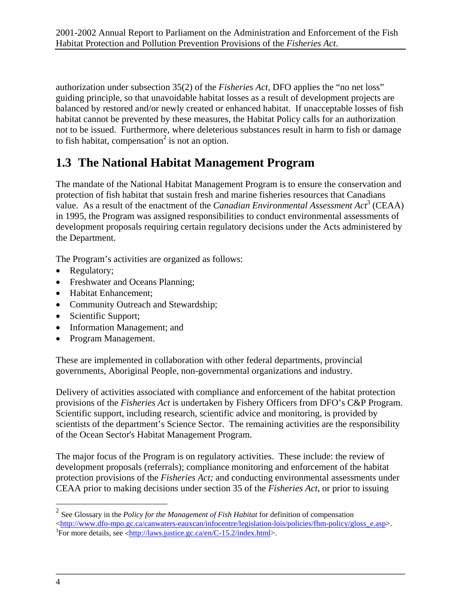<span id="page-11-0"></span>authorization under subsection 35(2) of the *Fisheries Act*, DFO applies the "no net loss" guiding principle, so that unavoidable habitat losses as a result of development projects are balanced by restored and/or newly created or enhanced habitat. If unacceptable losses of fish habitat cannot be prevented by these measures, the Habitat Policy calls for an authorization not to be issued. Furthermore, where deleterious substances result in harm to fish or damage to fish habitat, compensation<sup>[2](#page-11-1)</sup> is not an option.

## **1.3 The National Habitat Management Program**

The mandate of the National Habitat Management Program is to ensure the conservation and protection of fish habitat that sustain fresh and marine fisheries resources that Canadians <sup>1</sup> value. As a result of the enactment of the *Canadian Environmental Assessment Act*<sup>[3](#page-11-2)</sup> (CEAA) in 1995, the Program was assigned responsibilities to conduct environmental assessments of development proposals requiring certain regulatory decisions under the Acts administered by the Department.

The Program's activities are organized as follows:

- Regulatory;
- Freshwater and Oceans Planning;
- Habitat Enhancement;
- Community Outreach and Stewardship;
- Scientific Support;
- Information Management; and
- Program Management.

These are implemented in collaboration with other federal departments, provincial governments, Aboriginal People, non-governmental organizations and industry.

Delivery of activities associated with compliance and enforcement of the habitat protection provisions of the *Fisheries Act* is undertaken by Fishery Officers from DFO's C&P Program. Scientific support, including research, scientific advice and monitoring, is provided by scientists of the department's Science Sector. The remaining activities are the responsibility of the Ocean Sector's Habitat Management Program.

The major focus of the Program is on regulatory activities. These include: the review of development proposals (referrals); compliance monitoring and enforcement of the habitat protection provisions of the *Fisheries Act;* and conducting environmental assessments under CEAA prior to making decisions under section 35 of the *Fisheries Act*, or prior to issuing

<span id="page-11-1"></span><sup>2</sup> See Glossary in the *Policy for the Management of Fish Habitat* for definition of compensation  $\langle$ [http://www.dfo-mpo.gc.ca/canwaters-eauxcan/infocentre/legislation-lois/policies/fhm-policy/gloss\\_e.asp](http://www.dfo-mpo.gc.ca/canwaters-eauxcan/infocentre/legislation-lois/policies/fhm-policy/gloss_e.asp)>.

<u>.</u>

<span id="page-11-2"></span> ${}^{3}$ For more details, see <[http://laws.justice.gc.ca/en/C-15.2/index.html>](http://laws.justice.gc.ca/en/C-15.2/index.html).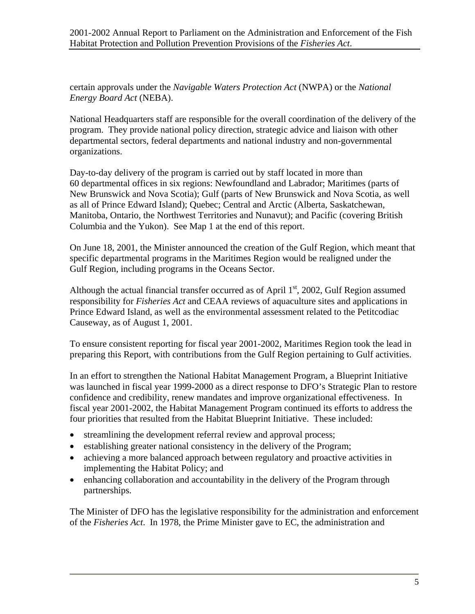certain approvals under the *Navigable Waters Protection Act* (NWPA) or the *National Energy Board Act* (NEBA).

National Headquarters staff are responsible for the overall coordination of the delivery of the program. They provide national policy direction, strategic advice and liaison with other departmental sectors, federal departments and national industry and non-governmental organizations.

Day-to-day delivery of the program is carried out by staff located in more than 60 departmental offices in six regions: Newfoundland and Labrador; Maritimes (parts of New Brunswick and Nova Scotia); Gulf (parts of New Brunswick and Nova Scotia, as well as all of Prince Edward Island); Quebec; Central and Arctic (Alberta, Saskatchewan, Manitoba, Ontario, the Northwest Territories and Nunavut); and Pacific (covering British Columbia and the Yukon). See Map 1 at the end of this report.

On June 18, 2001, the Minister announced the creation of the Gulf Region, which meant that specific departmental programs in the Maritimes Region would be realigned under the Gulf Region, including programs in the Oceans Sector.

Although the actual financial transfer occurred as of April  $1<sup>st</sup>$ , 2002, Gulf Region assumed responsibility for *Fisheries Act* and CEAA reviews of aquaculture sites and applications in Prince Edward Island, as well as the environmental assessment related to the Petitcodiac Causeway, as of August 1, 2001.

To ensure consistent reporting for fiscal year 2001-2002, Maritimes Region took the lead in preparing this Report, with contributions from the Gulf Region pertaining to Gulf activities.

In an effort to strengthen the National Habitat Management Program, a Blueprint Initiative was launched in fiscal year 1999-2000 as a direct response to DFO's Strategic Plan to restore confidence and credibility, renew mandates and improve organizational effectiveness. In fiscal year 2001-2002, the Habitat Management Program continued its efforts to address the four priorities that resulted from the Habitat Blueprint Initiative. These included:

- streamlining the development referral review and approval process;
- establishing greater national consistency in the delivery of the Program;
- achieving a more balanced approach between regulatory and proactive activities in implementing the Habitat Policy; and
- enhancing collaboration and accountability in the delivery of the Program through partnerships.

The Minister of DFO has the legislative responsibility for the administration and enforcement of the *Fisheries Act*. In 1978, the Prime Minister gave to EC, the administration and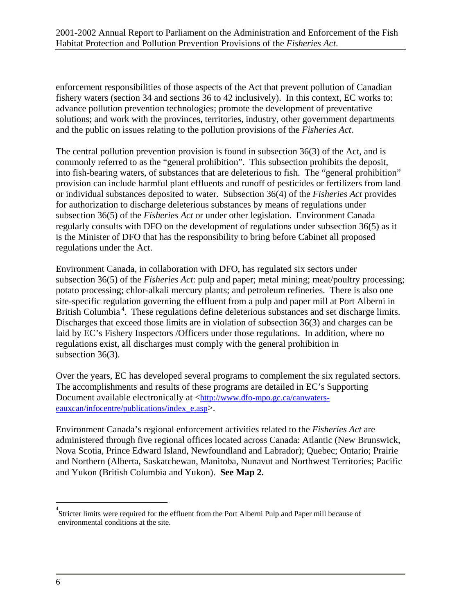enforcement responsibilities of those aspects of the Act that prevent pollution of Canadian fishery waters (section 34 and sections 36 to 42 inclusively). In this context, EC works to: advance pollution prevention technologies; promote the development of preventative solutions; and work with the provinces, territories, industry, other government departments and the public on issues relating to the pollution provisions of the *Fisheries Act*.

The central pollution prevention provision is found in subsection 36(3) of the Act, and is commonly referred to as the "general prohibition". This subsection prohibits the deposit, into fish-bearing waters, of substances that are deleterious to fish. The "general prohibition" provision can include harmful plant effluents and runoff of pesticides or fertilizers from land or individual substances deposited to water. Subsection 36(4) of the *Fisheries Act* provides for authorization to discharge deleterious substances by means of regulations under subsection 36(5) of the *Fisheries Act* or under other legislation. Environment Canada regularly consults with DFO on the development of regulations under subsection 36(5) as it is the Minister of DFO that has the responsibility to bring before Cabinet all proposed regulations under the Act.

Environment Canada, in collaboration with DFO, has regulated six sectors under subsection 36(5) of the *Fisheries Act*: pulp and paper; metal mining; meat/poultry processing; potato processing; chlor-alkali mercury plants; and petroleum refineries. There is also one site-specific regulation governing the effluent from a pulp and paper mill at Port Alberni in British Columbia<sup>4</sup>. These regulations define deleterious substances and set discharge limits. Discharges that exceed those limits are in violation of subsection 36(3) and charges can be laid by EC's Fishery Inspectors /Officers under those regulations. In addition, where no regulations exist, all discharges must comply with the general prohibition in subsection 36(3).

Over the years, EC has developed several programs to complement the six regulated sectors. The accomplishments and results of these programs are detailed in EC's Supporting Document available electronically at [<http://www.dfo-mpo.gc.ca/canwaters](http://www.dfo-mpo.gc.ca/canwaters-eauxcan/infocentre/publications/index_e.asp)[eauxcan/infocentre/publications/index\\_e.asp>](http://www.dfo-mpo.gc.ca/canwaters-eauxcan/infocentre/publications/index_e.asp).

Environment Canada's regional enforcement activities related to the *Fisheries Act* are administered through five regional offices located across Canada: Atlantic (New Brunswick, Nova Scotia, Prince Edward Island, Newfoundland and Labrador); Quebec; Ontario; Prairie and Northern (Alberta, Saskatchewan, Manitoba, Nunavut and Northwest Territories; Pacific and Yukon (British Columbia and Yukon). **See Map 2.** 

1

<span id="page-13-0"></span><sup>&</sup>lt;sup>4</sup><br>Stricter limits were required for the effluent from the Port Alberni Pulp and Paper mill because of environmental conditions at the site.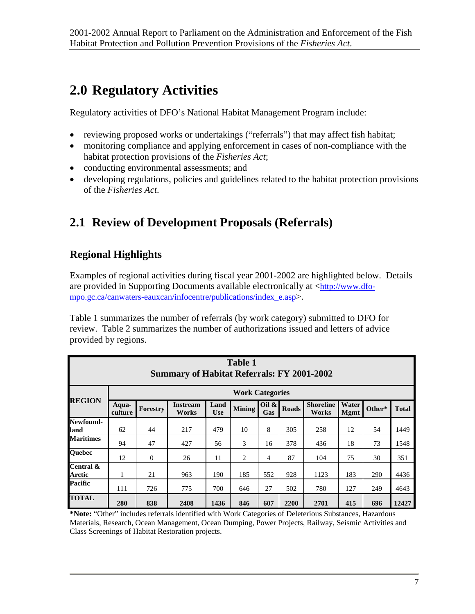## <span id="page-14-0"></span>**2.0 Regulatory Activities**

Regulatory activities of DFO's National Habitat Management Program include:

- reviewing proposed works or undertakings ("referrals") that may affect fish habitat;
- monitoring compliance and applying enforcement in cases of non-compliance with the habitat protection provisions of the *Fisheries Act*;
- conducting environmental assessments; and
- developing regulations, policies and guidelines related to the habitat protection provisions of the *Fisheries Act*.

## **2.1 Review of Development Proposals (Referrals)**

## **Regional Highlights**

Examples of regional activities during fiscal year 2001-2002 are highlighted below. Details are provided in Supporting Documents available electronically at <[http://www.dfo](http://www.dfo-mpo.gc.ca/canwaters-eauxcan/infocentre/publications/index_e.asp)[mpo.gc.ca/canwaters-eauxcan/infocentre/publications/index\\_e.asp>](http://www.dfo-mpo.gc.ca/canwaters-eauxcan/infocentre/publications/index_e.asp).

Table 1 summarizes the number of referrals (by work category) submitted to DFO for review. Table 2 summarizes the number of authorizations issued and letters of advice provided by regions.

| <b>Table 1</b><br><b>Summary of Habitat Referrals: FY 2001-2002</b> |                        |                |                          |                    |               |                 |              |                           |                      |        |              |
|---------------------------------------------------------------------|------------------------|----------------|--------------------------|--------------------|---------------|-----------------|--------------|---------------------------|----------------------|--------|--------------|
|                                                                     | <b>Work Categories</b> |                |                          |                    |               |                 |              |                           |                      |        |              |
| <b>REGION</b>                                                       | Aqua-<br>culture       | Forestry       | <b>Instream</b><br>Works | Land<br><b>Use</b> | <b>Mining</b> | Oil $\&$<br>Gas | <b>Roads</b> | <b>Shoreline</b><br>Works | Water<br><b>Mgmt</b> | Other* | <b>Total</b> |
| Newfound-<br>land                                                   | 62                     | 44             | 217                      | 479                | 10            | 8               | 305          | 258                       | 12                   | 54     | 1449         |
| <b>Maritimes</b>                                                    | 94                     | 47             | 427                      | 56                 | 3             | 16              | 378          | 436                       | 18                   | 73     | 1548         |
| <b>Quebec</b>                                                       | 12                     | $\overline{0}$ | 26                       | 11                 | 2             | 4               | 87           | 104                       | 75                   | 30     | 351          |
| Central &<br>Arctic                                                 | 1                      | 21             | 963                      | 190                | 185           | 552             | 928          | 1123                      | 183                  | 290    | 4436         |
| Pacific                                                             | 111                    | 726            | 775                      | 700                | 646           | 27              | 502          | 780                       | 127                  | 249    | 4643         |
| <b>TOTAL</b>                                                        | 280                    | 838            | 2408                     | 1436               | 846           | 607             | 2200         | 2701                      | 415                  | 696    | 12427        |

**\*Note:** "Other" includes referrals identified with Work Categories of Deleterious Substances, Hazardous Materials, Research, Ocean Management, Ocean Dumping, Power Projects, Railway, Seismic Activities and Class Screenings of Habitat Restoration projects.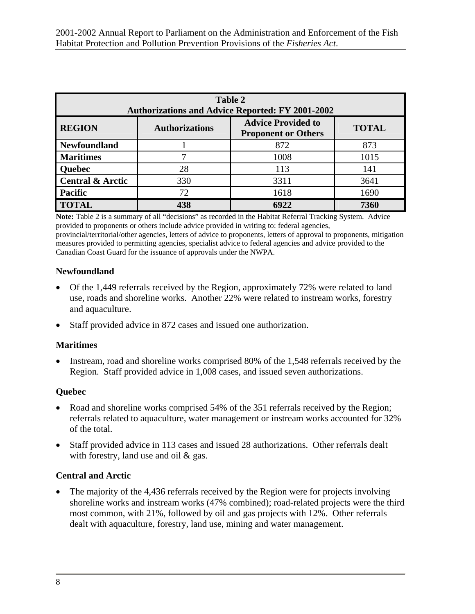| <b>Table 2</b><br><b>Authorizations and Advice Reported: FY 2001-2002</b> |                       |                                                         |              |  |  |
|---------------------------------------------------------------------------|-----------------------|---------------------------------------------------------|--------------|--|--|
| <b>REGION</b>                                                             | <b>Authorizations</b> | <b>Advice Provided to</b><br><b>Proponent or Others</b> | <b>TOTAL</b> |  |  |
| <b>Newfoundland</b>                                                       |                       | 872                                                     | 873          |  |  |
| <b>Maritimes</b>                                                          |                       | 1008                                                    | 1015         |  |  |
| <b>Ouebec</b>                                                             | 28                    | 113                                                     | 141          |  |  |
| <b>Central &amp; Arctic</b>                                               | 330                   | 3311                                                    | 3641         |  |  |
| <b>Pacific</b>                                                            | 72                    | 1618                                                    | 1690         |  |  |
| <b>TOTAL</b>                                                              | 438                   | 6922                                                    | 7360         |  |  |

**Note:** Table 2 is a summary of all "decisions" as recorded in the Habitat Referral Tracking System. Advice provided to proponents or others include advice provided in writing to: federal agencies, provincial/territorial/other agencies, letters of advice to proponents, letters of approval to proponents, mitigation measures provided to permitting agencies, specialist advice to federal agencies and advice provided to the Canadian Coast Guard for the issuance of approvals under the NWPA.

#### **Newfoundland**

- Of the 1,449 referrals received by the Region, approximately 72% were related to land use, roads and shoreline works. Another 22% were related to instream works, forestry and aquaculture.
- Staff provided advice in 872 cases and issued one authorization.

#### **Maritimes**

• Instream, road and shoreline works comprised 80% of the 1,548 referrals received by the Region. Staff provided advice in 1,008 cases, and issued seven authorizations.

#### **Quebec**

- Road and shoreline works comprised 54% of the 351 referrals received by the Region; referrals related to aquaculture, water management or instream works accounted for 32% of the total.
- Staff provided advice in 113 cases and issued 28 authorizations. Other referrals dealt with forestry, land use and oil & gas.

#### **Central and Arctic**

• The majority of the 4,436 referrals received by the Region were for projects involving shoreline works and instream works (47% combined); road-related projects were the third most common, with 21%, followed by oil and gas projects with 12%. Other referrals dealt with aquaculture, forestry, land use, mining and water management.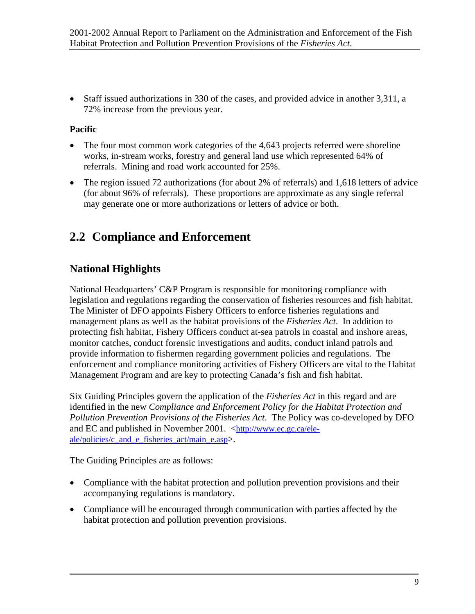<span id="page-16-0"></span>• Staff issued authorizations in 330 of the cases, and provided advice in another 3,311, a 72% increase from the previous year.

#### **Pacific**

- The four most common work categories of the 4,643 projects referred were shoreline works, in-stream works, forestry and general land use which represented 64% of referrals. Mining and road work accounted for 25%.
- The region issued 72 authorizations (for about 2% of referrals) and 1,618 letters of advice (for about 96% of referrals). These proportions are approximate as any single referral may generate one or more authorizations or letters of advice or both.

## **2.2 Compliance and Enforcement**

### **National Highlights**

National Headquarters' C&P Program is responsible for monitoring compliance with legislation and regulations regarding the conservation of fisheries resources and fish habitat. The Minister of DFO appoints Fishery Officers to enforce fisheries regulations and management plans as well as the habitat provisions of the *Fisheries Act*. In addition to protecting fish habitat, Fishery Officers conduct at-sea patrols in coastal and inshore areas, monitor catches, conduct forensic investigations and audits, conduct inland patrols and provide information to fishermen regarding government policies and regulations. The enforcement and compliance monitoring activities of Fishery Officers are vital to the Habitat Management Program and are key to protecting Canada's fish and fish habitat.

Six Guiding Principles govern the application of the *Fisheries Act* in this regard and are identified in the new *Compliance and Enforcement Policy for the Habitat Protection and Pollution Prevention Provisions of the Fisheries Act*. The Policy was co-developed by DFO and EC and published in November 2001. [<http://www.ec.gc.ca/ele](http://www.ec.gc.ca/ele-ale/policies/c_and_e_fisheries_act/main_e.asp)[ale/policies/c\\_and\\_e\\_fisheries\\_act/main\\_e.asp>](http://www.ec.gc.ca/ele-ale/policies/c_and_e_fisheries_act/main_e.asp).

The Guiding Principles are as follows:

- Compliance with the habitat protection and pollution prevention provisions and their accompanying regulations is mandatory.
- Compliance will be encouraged through communication with parties affected by the habitat protection and pollution prevention provisions.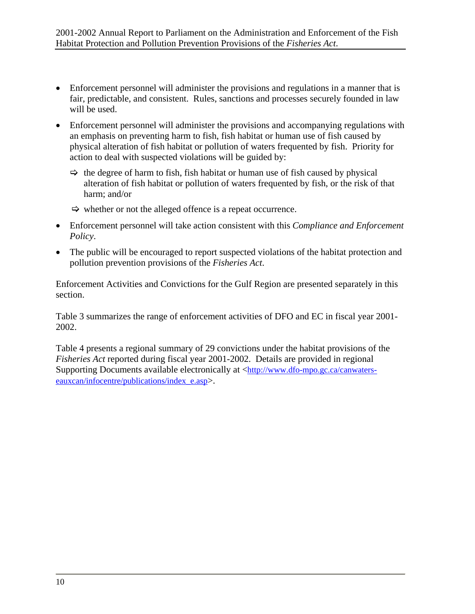- Enforcement personnel will administer the provisions and regulations in a manner that is fair, predictable, and consistent. Rules, sanctions and processes securely founded in law will be used.
- Enforcement personnel will administer the provisions and accompanying regulations with an emphasis on preventing harm to fish, fish habitat or human use of fish caused by physical alteration of fish habitat or pollution of waters frequented by fish. Priority for action to deal with suspected violations will be guided by:
	- $\Rightarrow$  the degree of harm to fish, fish habitat or human use of fish caused by physical alteration of fish habitat or pollution of waters frequented by fish, or the risk of that harm; and/or
	- $\Rightarrow$  whether or not the alleged offence is a repeat occurrence.
- Enforcement personnel will take action consistent with this *Compliance and Enforcement Policy*.
- The public will be encouraged to report suspected violations of the habitat protection and pollution prevention provisions of the *Fisheries Act*.

Enforcement Activities and Convictions for the Gulf Region are presented separately in this section.

Table 3 summarizes the range of enforcement activities of DFO and EC in fiscal year 2001- 2002.

Table 4 presents a regional summary of 29 convictions under the habitat provisions of the *Fisheries Act* reported during fiscal year 2001-2002. Details are provided in regional Supporting Documents available electronically at [<http://www.dfo-mpo.gc.ca/canwaters](http://www.dfo-mpo.gc.ca/canwaters-eauxcan/infocentre/publications/index_e.asp)[eauxcan/infocentre/publications/index\\_e.asp>](http://www.dfo-mpo.gc.ca/canwaters-eauxcan/infocentre/publications/index_e.asp).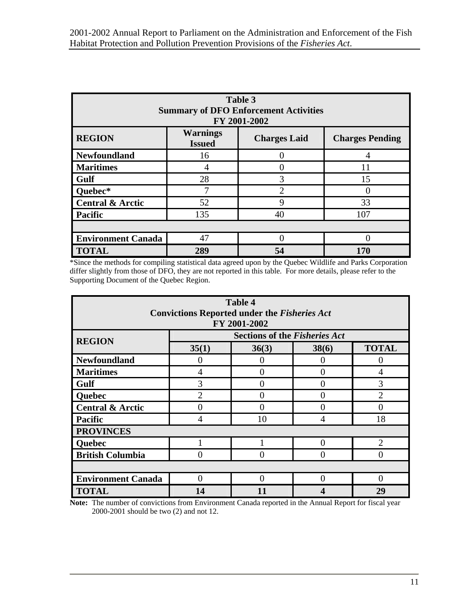| Table 3<br><b>Summary of DFO Enforcement Activities</b><br>FY 2001-2002 |                                  |                     |                        |  |  |
|-------------------------------------------------------------------------|----------------------------------|---------------------|------------------------|--|--|
| <b>REGION</b>                                                           | <b>Warnings</b><br><b>Issued</b> | <b>Charges Laid</b> | <b>Charges Pending</b> |  |  |
| Newfoundland                                                            | 16                               |                     |                        |  |  |
| <b>Maritimes</b>                                                        | 4                                |                     | 11                     |  |  |
| Gulf                                                                    | 28                               | 3                   | 15                     |  |  |
| Quebec*                                                                 | ⇁                                | $\mathfrak{D}$      |                        |  |  |
| <b>Central &amp; Arctic</b>                                             | 52                               | 9                   | 33                     |  |  |
| Pacific                                                                 | 135                              | 40                  | 107                    |  |  |
|                                                                         |                                  |                     |                        |  |  |
| <b>Environment Canada</b>                                               | 47                               |                     |                        |  |  |
| <b>TOTAL</b>                                                            | 289                              | 54                  | 170                    |  |  |

\*Since the methods for compiling statistical data agreed upon by the Quebec Wildlife and Parks Corporation differ slightly from those of DFO, they are not reported in this table. For more details, please refer to the Supporting Document of the Quebec Region.

| <b>Table 4</b>                                      |                                      |              |                   |                |  |  |  |
|-----------------------------------------------------|--------------------------------------|--------------|-------------------|----------------|--|--|--|
| <b>Convictions Reported under the Fisheries Act</b> |                                      |              |                   |                |  |  |  |
|                                                     |                                      | FY 2001-2002 |                   |                |  |  |  |
| <b>REGION</b>                                       | <b>Sections of the Fisheries Act</b> |              |                   |                |  |  |  |
|                                                     | 35(1)                                | 36(3)        | 38(6)             | <b>TOTAL</b>   |  |  |  |
| <b>Newfoundland</b>                                 | $\Omega$                             | 0            | 0                 | 0              |  |  |  |
| <b>Maritimes</b>                                    | 4                                    | 0            | 0                 | 4              |  |  |  |
| Gulf                                                | 3                                    | 0            | $\mathbf{\Omega}$ | 3              |  |  |  |
| <b>Quebec</b>                                       | $\overline{2}$                       | 0            | 0                 | $\overline{2}$ |  |  |  |
| <b>Central &amp; Arctic</b>                         | 0                                    | 0            | 0                 | 0              |  |  |  |
| Pacific                                             | 4                                    | 10           | 4                 | 18             |  |  |  |
| <b>PROVINCES</b>                                    |                                      |              |                   |                |  |  |  |
| <b>Quebec</b>                                       |                                      |              | 0                 | $\overline{2}$ |  |  |  |
| <b>British Columbia</b>                             | 0                                    | 0            | ∩                 | ∩              |  |  |  |
|                                                     |                                      |              |                   |                |  |  |  |
| <b>Environment Canada</b>                           | 0                                    | 0            | 0                 | 0              |  |  |  |
| <b>TOTAL</b>                                        | 14                                   | 11           |                   | 29             |  |  |  |

**Note:** The number of convictions from Environment Canada reported in the Annual Report for fiscal year 2000-2001 should be two (2) and not 12.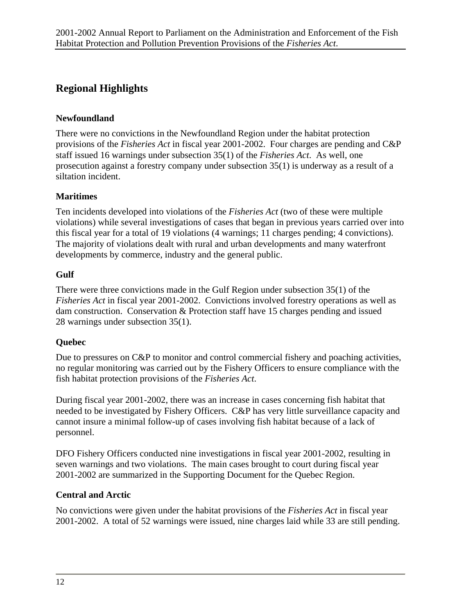### **Regional Highlights**

#### **Newfoundland**

There were no convictions in the Newfoundland Region under the habitat protection provisions of the *Fisheries Act* in fiscal year 2001-2002. Four charges are pending and C&P staff issued 16 warnings under subsection 35(1) of the *Fisheries Act*. As well, one prosecution against a forestry company under subsection 35(1) is underway as a result of a siltation incident.

#### **Maritimes**

Ten incidents developed into violations of the *Fisheries Act* (two of these were multiple violations) while several investigations of cases that began in previous years carried over into this fiscal year for a total of 19 violations (4 warnings; 11 charges pending; 4 convictions). The majority of violations dealt with rural and urban developments and many waterfront developments by commerce, industry and the general public.

#### **Gulf**

There were three convictions made in the Gulf Region under subsection 35(1) of the *Fisheries Act* in fiscal year 2001-2002. Convictions involved forestry operations as well as dam construction. Conservation & Protection staff have 15 charges pending and issued 28 warnings under subsection 35(1).

#### **Quebec**

Due to pressures on C&P to monitor and control commercial fishery and poaching activities, no regular monitoring was carried out by the Fishery Officers to ensure compliance with the fish habitat protection provisions of the *Fisheries Act*.

During fiscal year 2001-2002, there was an increase in cases concerning fish habitat that needed to be investigated by Fishery Officers. C&P has very little surveillance capacity and cannot insure a minimal follow-up of cases involving fish habitat because of a lack of personnel.

DFO Fishery Officers conducted nine investigations in fiscal year 2001-2002, resulting in seven warnings and two violations. The main cases brought to court during fiscal year 2001-2002 are summarized in the Supporting Document for the Quebec Region.

#### **Central and Arctic**

No convictions were given under the habitat provisions of the *Fisheries Act* in fiscal year 2001-2002. A total of 52 warnings were issued, nine charges laid while 33 are still pending.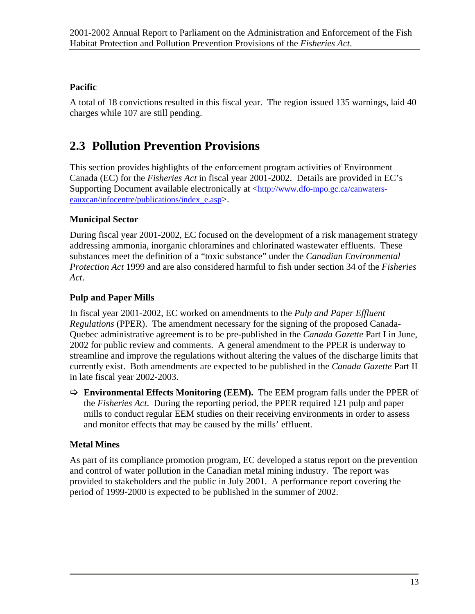#### <span id="page-20-0"></span>**Pacific**

A total of 18 convictions resulted in this fiscal year. The region issued 135 warnings, laid 40 charges while 107 are still pending.

## **2.3 Pollution Prevention Provisions**

This section provides highlights of the enforcement program activities of Environment Canada (EC) for the *Fisheries Act* in fiscal year 2001-2002. Details are provided in EC's Supporting Document available electronically at [<http://www.dfo-mpo.gc.ca/canwaters](http://www.dfo-mpo.gc.ca/canwaters-eauxcan/infocentre/publications/index_e.asp)[eauxcan/infocentre/publications/index\\_e.asp>](http://www.dfo-mpo.gc.ca/canwaters-eauxcan/infocentre/publications/index_e.asp).

#### **Municipal Sector**

During fiscal year 2001-2002, EC focused on the development of a risk management strategy addressing ammonia, inorganic chloramines and chlorinated wastewater effluents. These substances meet the definition of a "toxic substance" under the *Canadian Environmental Protection Act* 1999 and are also considered harmful to fish under section 34 of the *Fisheries Act*.

#### **Pulp and Paper Mills**

In fiscal year 2001-2002, EC worked on amendments to the *Pulp and Paper Effluent Regulations* (PPER). The amendment necessary for the signing of the proposed Canada-Quebec administrative agreement is to be pre-published in the *Canada Gazette* Part I in June, 2002 for public review and comments. A general amendment to the PPER is underway to streamline and improve the regulations without altering the values of the discharge limits that currently exist. Both amendments are expected to be published in the *Canada Gazette* Part II in late fiscal year 2002-2003.

> **Environmental Effects Monitoring (EEM).** The EEM program falls under the PPER of the *Fisheries Act*. During the reporting period, the PPER required 121 pulp and paper mills to conduct regular EEM studies on their receiving environments in order to assess and monitor effects that may be caused by the mills' effluent.

#### **Metal Mines**

As part of its compliance promotion program, EC developed a status report on the prevention and control of water pollution in the Canadian metal mining industry. The report was provided to stakeholders and the public in July 2001. A performance report covering the period of 1999-2000 is expected to be published in the summer of 2002.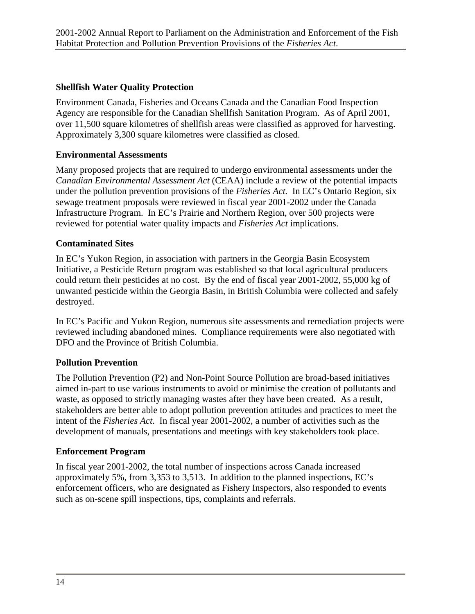#### **Shellfish Water Quality Protection**

Environment Canada, Fisheries and Oceans Canada and the Canadian Food Inspection Agency are responsible for the Canadian Shellfish Sanitation Program. As of April 2001, over 11,500 square kilometres of shellfish areas were classified as approved for harvesting. Approximately 3,300 square kilometres were classified as closed.

#### **Environmental Assessments**

Many proposed projects that are required to undergo environmental assessments under the *Canadian Environmental Assessment Act* (CEAA) include a review of the potential impacts under the pollution prevention provisions of the *Fisheries Act.* In EC's Ontario Region, six sewage treatment proposals were reviewed in fiscal year 2001-2002 under the Canada Infrastructure Program. In EC's Prairie and Northern Region, over 500 projects were reviewed for potential water quality impacts and *Fisheries Act* implications.

#### **Contaminated Sites**

In EC's Yukon Region, in association with partners in the Georgia Basin Ecosystem Initiative, a Pesticide Return program was established so that local agricultural producers could return their pesticides at no cost. By the end of fiscal year 2001-2002, 55,000 kg of unwanted pesticide within the Georgia Basin, in British Columbia were collected and safely destroyed.

In EC's Pacific and Yukon Region, numerous site assessments and remediation projects were reviewed including abandoned mines. Compliance requirements were also negotiated with DFO and the Province of British Columbia.

#### **Pollution Prevention**

The Pollution Prevention (P2) and Non-Point Source Pollution are broad-based initiatives aimed in-part to use various instruments to avoid or minimise the creation of pollutants and waste, as opposed to strictly managing wastes after they have been created. As a result, stakeholders are better able to adopt pollution prevention attitudes and practices to meet the intent of the *Fisheries Act*. In fiscal year 2001-2002, a number of activities such as the development of manuals, presentations and meetings with key stakeholders took place.

#### **Enforcement Program**

In fiscal year 2001-2002, the total number of inspections across Canada increased approximately 5%, from 3,353 to 3,513. In addition to the planned inspections, EC's enforcement officers, who are designated as Fishery Inspectors, also responded to events such as on-scene spill inspections, tips, complaints and referrals.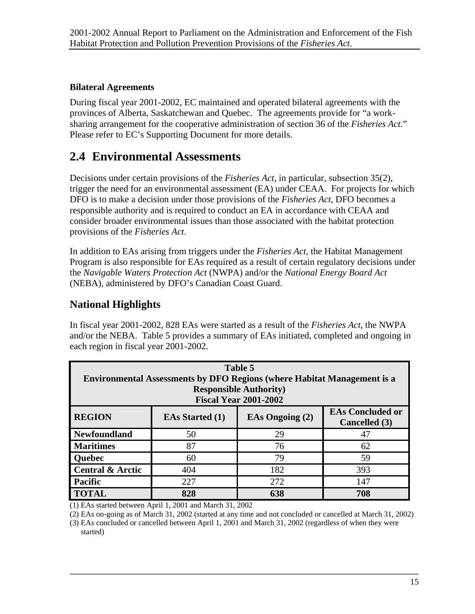#### <span id="page-22-0"></span>**Bilateral Agreements**

During fiscal year 2001-2002, EC maintained and operated bilateral agreements with the provinces of Alberta, Saskatchewan and Quebec. The agreements provide for "a worksharing arrangement for the cooperative administration of section 36 of the *Fisheries Act*." Please refer to EC's Supporting Document for more details.

## **2.4 Environmental Assessments**

Decisions under certain provisions of the *Fisheries Act*, in particular, subsection 35(2), trigger the need for an environmental assessment (EA) under CEAA. For projects for which DFO is to make a decision under those provisions of the *Fisheries Act*, DFO becomes a responsible authority and is required to conduct an EA in accordance with CEAA and consider broader environmental issues than those associated with the habitat protection provisions of the *Fisheries Act*.

In addition to EAs arising from triggers under the *Fisheries Act*, the Habitat Management Program is also responsible for EAs required as a result of certain regulatory decisions under the *Navigable Waters Protection Act* (NWPA) and/or the *National Energy Board Act* (NEBA), administered by DFO's Canadian Coast Guard.

### **National Highlights**

In fiscal year 2001-2002, 828 EAs were started as a result of the *Fisheries Act*, the NWPA and/or the NEBA. Table 5 provides a summary of EAs initiated, completed and ongoing in each region in fiscal year 2001-2002.

| Table 5<br><b>Environmental Assessments by DFO Regions (where Habitat Management is a</b><br><b>Responsible Authority</b> )<br><b>Fiscal Year 2001-2002</b> |                        |                        |                                                 |  |
|-------------------------------------------------------------------------------------------------------------------------------------------------------------|------------------------|------------------------|-------------------------------------------------|--|
| <b>REGION</b>                                                                                                                                               | <b>EAs Started (1)</b> | <b>EAs Ongoing (2)</b> | <b>EAs Concluded or</b><br><b>Cancelled</b> (3) |  |
| <b>Newfoundland</b>                                                                                                                                         | 50                     | 29                     | 47                                              |  |
| <b>Maritimes</b>                                                                                                                                            | 87                     | 76                     | 62                                              |  |
| Quebec                                                                                                                                                      | 60                     | 79                     | 59                                              |  |
| <b>Central &amp; Arctic</b>                                                                                                                                 | 404                    | 182                    | 393                                             |  |
| <b>Pacific</b>                                                                                                                                              | 227                    | 272                    | 147                                             |  |
| <b>TOTAL</b>                                                                                                                                                | 828                    | 638                    | 708                                             |  |

(1) EAs started between April 1, 2001 and March 31, 2002

(2) EAs on-going as of March 31, 2002 (started at any time and not concluded or cancelled at March 31, 2002)

(3) EAs concluded or cancelled between April 1, 2001 and March 31, 2002 (regardless of when they were started)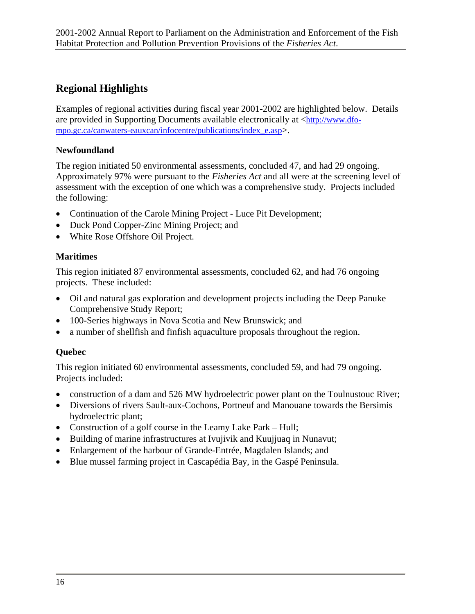### **Regional Highlights**

Examples of regional activities during fiscal year 2001-2002 are highlighted below. Details are provided in Supporting Documents available electronically at <[http://www.dfo](http://www.dfo-mpo.gc.ca/canwaters-eauxcan/infocentre/publications/index_e.asp)[mpo.gc.ca/canwaters-eauxcan/infocentre/publications/index\\_e.asp>](http://www.dfo-mpo.gc.ca/canwaters-eauxcan/infocentre/publications/index_e.asp).

#### **Newfoundland**

The region initiated 50 environmental assessments, concluded 47, and had 29 ongoing. Approximately 97% were pursuant to the *Fisheries Act* and all were at the screening level of assessment with the exception of one which was a comprehensive study. Projects included the following:

- Continuation of the Carole Mining Project Luce Pit Development;
- Duck Pond Copper-Zinc Mining Project; and
- White Rose Offshore Oil Project.

#### **Maritimes**

This region initiated 87 environmental assessments, concluded 62, and had 76 ongoing projects. These included:

- Oil and natural gas exploration and development projects including the Deep Panuke Comprehensive Study Report;
- 100-Series highways in Nova Scotia and New Brunswick; and
- a number of shellfish and finfish aquaculture proposals throughout the region.

#### **Quebec**

This region initiated 60 environmental assessments, concluded 59, and had 79 ongoing. Projects included:

- construction of a dam and 526 MW hydroelectric power plant on the Toulnustouc River;
- Diversions of rivers Sault-aux-Cochons, Portneuf and Manouane towards the Bersimis hydroelectric plant;
- Construction of a golf course in the Leamy Lake Park Hull;
- Building of marine infrastructures at Ivujivik and Kuujjuaq in Nunavut;
- Enlargement of the harbour of Grande-Entrée, Magdalen Islands; and
- Blue mussel farming project in Cascapédia Bay, in the Gaspé Peninsula.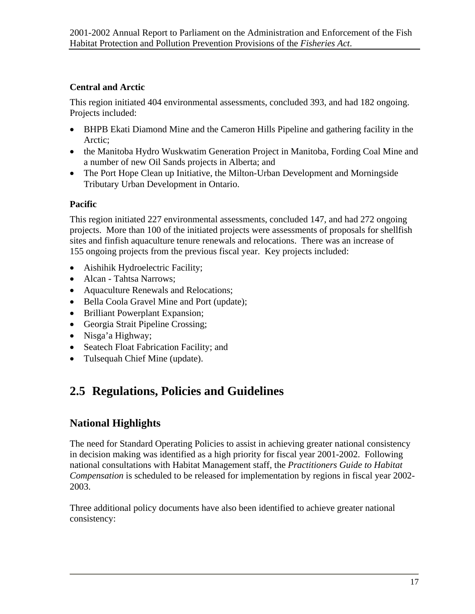#### <span id="page-24-0"></span>**Central and Arctic**

This region initiated 404 environmental assessments, concluded 393, and had 182 ongoing. Projects included:

- BHPB Ekati Diamond Mine and the Cameron Hills Pipeline and gathering facility in the Arctic;
- the Manitoba Hydro Wuskwatim Generation Project in Manitoba, Fording Coal Mine and a number of new Oil Sands projects in Alberta; and
- The Port Hope Clean up Initiative, the Milton-Urban Development and Morningside Tributary Urban Development in Ontario.

#### **Pacific**

This region initiated 227 environmental assessments, concluded 147, and had 272 ongoing projects. More than 100 of the initiated projects were assessments of proposals for shellfish sites and finfish aquaculture tenure renewals and relocations. There was an increase of 155 ongoing projects from the previous fiscal year. Key projects included:

- Aishihik Hydroelectric Facility;
- Alcan Tahtsa Narrows;
- Aquaculture Renewals and Relocations;
- Bella Coola Gravel Mine and Port (update);
- Brilliant Powerplant Expansion;
- Georgia Strait Pipeline Crossing;
- Nisga'a Highway;
- Seatech Float Fabrication Facility; and
- Tulsequah Chief Mine (update).

## **2.5 Regulations, Policies and Guidelines**

### **National Highlights**

The need for Standard Operating Policies to assist in achieving greater national consistency in decision making was identified as a high priority for fiscal year 2001-2002. Following national consultations with Habitat Management staff, the *Practitioners Guide to Habitat Compensation* is scheduled to be released for implementation by regions in fiscal year 2002- 2003.

Three additional policy documents have also been identified to achieve greater national consistency: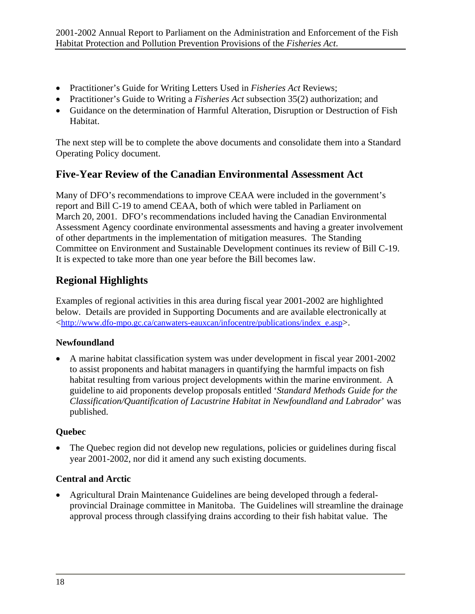- Practitioner's Guide for Writing Letters Used in *Fisheries Act* Reviews;
- Practitioner's Guide to Writing a *Fisheries Act* subsection 35(2) authorization; and
- Guidance on the determination of Harmful Alteration, Disruption or Destruction of Fish Habitat.

The next step will be to complete the above documents and consolidate them into a Standard Operating Policy document.

### **Five-Year Review of the Canadian Environmental Assessment Act**

Many of DFO's recommendations to improve CEAA were included in the government's report and Bill C-19 to amend CEAA, both of which were tabled in Parliament on March 20, 2001. DFO's recommendations included having the Canadian Environmental Assessment Agency coordinate environmental assessments and having a greater involvement of other departments in the implementation of mitigation measures. The Standing Committee on Environment and Sustainable Development continues its review of Bill C-19. It is expected to take more than one year before the Bill becomes law.

### **Regional Highlights**

Examples of regional activities in this area during fiscal year 2001-2002 are highlighted below. Details are provided in Supporting Documents and are available electronically at <[http://www.dfo-mpo.gc.ca/canwaters-eauxcan/infocentre/publications/index\\_e.asp>](http://www.dfo-mpo.gc.ca/canwaters-eauxcan/infocentre/publications/index_e.asp).

#### **Newfoundland**

• A marine habitat classification system was under development in fiscal year 2001-2002 to assist proponents and habitat managers in quantifying the harmful impacts on fish habitat resulting from various project developments within the marine environment. A guideline to aid proponents develop proposals entitled '*Standard Methods Guide for the Classification/Quantification of Lacustrine Habitat in Newfoundland and Labrador*' was published.

#### **Quebec**

• The Quebec region did not develop new regulations, policies or guidelines during fiscal year 2001-2002, nor did it amend any such existing documents.

#### **Central and Arctic**

• Agricultural Drain Maintenance Guidelines are being developed through a federalprovincial Drainage committee in Manitoba. The Guidelines will streamline the drainage approval process through classifying drains according to their fish habitat value. The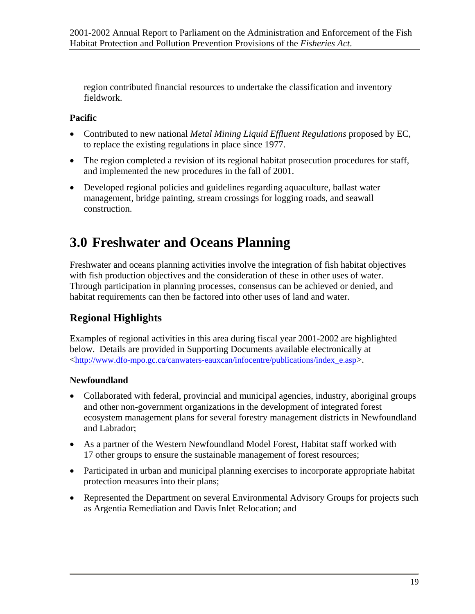<span id="page-26-0"></span>region contributed financial resources to undertake the classification and inventory fieldwork.

#### **Pacific**

- Contributed to new national *Metal Mining Liquid Effluent Regulations* proposed by EC, to replace the existing regulations in place since 1977.
- The region completed a revision of its regional habitat prosecution procedures for staff, and implemented the new procedures in the fall of 2001.
- Developed regional policies and guidelines regarding aquaculture, ballast water management, bridge painting, stream crossings for logging roads, and seawall construction.

## **3.0 Freshwater and Oceans Planning**

Freshwater and oceans planning activities involve the integration of fish habitat objectives with fish production objectives and the consideration of these in other uses of water. Through participation in planning processes, consensus can be achieved or denied, and habitat requirements can then be factored into other uses of land and water.

### **Regional Highlights**

Examples of regional activities in this area during fiscal year 2001-2002 are highlighted below. Details are provided in Supporting Documents available electronically at <[http://www.dfo-mpo.gc.ca/canwaters-eauxcan/infocentre/publications/index\\_e.asp>](http://www.dfo-mpo.gc.ca/canwaters-eauxcan/infocentre/publications/index_e.asp).

#### **Newfoundland**

- Collaborated with federal, provincial and municipal agencies, industry, aboriginal groups and other non-government organizations in the development of integrated forest ecosystem management plans for several forestry management districts in Newfoundland and Labrador;
- As a partner of the Western Newfoundland Model Forest, Habitat staff worked with 17 other groups to ensure the sustainable management of forest resources;
- Participated in urban and municipal planning exercises to incorporate appropriate habitat protection measures into their plans;
- Represented the Department on several Environmental Advisory Groups for projects such as Argentia Remediation and Davis Inlet Relocation; and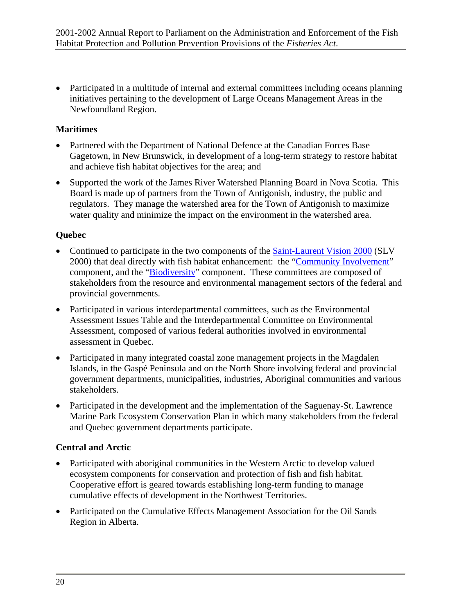• Participated in a multitude of internal and external committees including oceans planning initiatives pertaining to the development of Large Oceans Management Areas in the Newfoundland Region.

#### **Maritimes**

- Partnered with the Department of National Defence at the Canadian Forces Base Gagetown, in New Brunswick, in development of a long-term strategy to restore habitat and achieve fish habitat objectives for the area; and
- Supported the work of the James River Watershed Planning Board in Nova Scotia. This Board is made up of partners from the Town of Antigonish, industry, the public and regulators. They manage the watershed area for the Town of Antigonish to maximize water quality and minimize the impact on the environment in the watershed area.

#### **Quebec**

- Continued to participate in the two components of the [Saint-Laurent Vision 2000](http://www.slv2000.qc.ca/) (SLV 2000) that deal directly with fish habitat enhancement: the ["Community Involvement](http://www.slv2000.qc.ca/plan_action/phase3/implication_communautaire/accueil_a.htm)" component, and the "[Biodiversity](http://www.slv2000.qc.ca/plan_action/phase3/biodiversite/accueil_a.htm)" component. These committees are composed of stakeholders from the resource and environmental management sectors of the federal and provincial governments.
- Participated in various interdepartmental committees, such as the Environmental Assessment Issues Table and the Interdepartmental Committee on Environmental Assessment, composed of various federal authorities involved in environmental assessment in Quebec.
- Participated in many integrated coastal zone management projects in the Magdalen Islands, in the Gaspé Peninsula and on the North Shore involving federal and provincial government departments, municipalities, industries, Aboriginal communities and various stakeholders.
- Participated in the development and the implementation of the Saguenay-St. Lawrence Marine Park Ecosystem Conservation Plan in which many stakeholders from the federal and Quebec government departments participate.

#### **Central and Arctic**

- Participated with aboriginal communities in the Western Arctic to develop valued ecosystem components for conservation and protection of fish and fish habitat. Cooperative effort is geared towards establishing long-term funding to manage cumulative effects of development in the Northwest Territories.
- Participated on the Cumulative Effects Management Association for the Oil Sands Region in Alberta.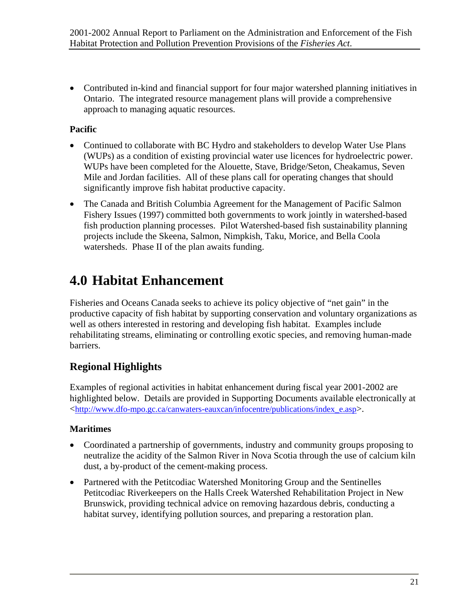<span id="page-28-0"></span>• Contributed in-kind and financial support for four major watershed planning initiatives in Ontario. The integrated resource management plans will provide a comprehensive approach to managing aquatic resources.

#### **Pacific**

- Continued to collaborate with BC Hydro and stakeholders to develop Water Use Plans (WUPs) as a condition of existing provincial water use licences for hydroelectric power. WUPs have been completed for the Alouette, Stave, Bridge/Seton, Cheakamus, Seven Mile and Jordan facilities. All of these plans call for operating changes that should significantly improve fish habitat productive capacity.
- The Canada and British Columbia Agreement for the Management of Pacific Salmon Fishery Issues (1997) committed both governments to work jointly in watershed-based fish production planning processes. Pilot Watershed-based fish sustainability planning projects include the Skeena, Salmon, Nimpkish, Taku, Morice, and Bella Coola watersheds. Phase II of the plan awaits funding.

## **4.0 Habitat Enhancement**

Fisheries and Oceans Canada seeks to achieve its policy objective of "net gain" in the productive capacity of fish habitat by supporting conservation and voluntary organizations as well as others interested in restoring and developing fish habitat. Examples include rehabilitating streams, eliminating or controlling exotic species, and removing human-made barriers.

### **Regional Highlights**

Examples of regional activities in habitat enhancement during fiscal year 2001-2002 are highlighted below. Details are provided in Supporting Documents available electronically at <[http://www.dfo-mpo.gc.ca/canwaters-eauxcan/infocentre/publications/index\\_e.asp>](http://www.dfo-mpo.gc.ca/canwaters-eauxcan/infocentre/publications/index_e.asp).

#### **Maritimes**

- Coordinated a partnership of governments, industry and community groups proposing to neutralize the acidity of the Salmon River in Nova Scotia through the use of calcium kiln dust, a by-product of the cement-making process.
- Partnered with the Petitcodiac Watershed Monitoring Group and the Sentinelles Petitcodiac Riverkeepers on the Halls Creek Watershed Rehabilitation Project in New Brunswick, providing technical advice on removing hazardous debris, conducting a habitat survey, identifying pollution sources, and preparing a restoration plan.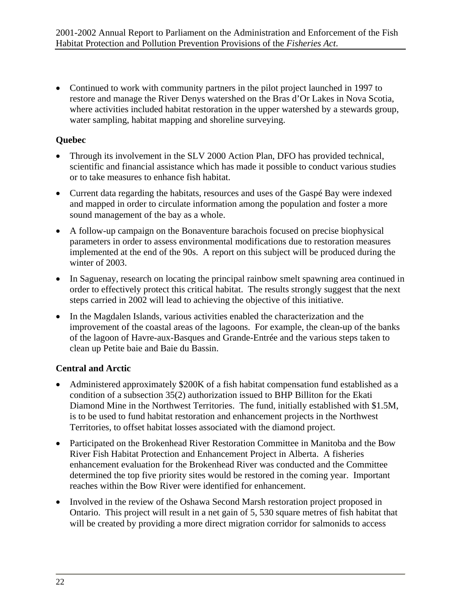• Continued to work with community partners in the pilot project launched in 1997 to restore and manage the River Denys watershed on the Bras d'Or Lakes in Nova Scotia, where activities included habitat restoration in the upper watershed by a stewards group, water sampling, habitat mapping and shoreline surveying.

#### **Quebec**

- Through its involvement in the SLV 2000 Action Plan, DFO has provided technical, scientific and financial assistance which has made it possible to conduct various studies or to take measures to enhance fish habitat.
- Current data regarding the habitats, resources and uses of the Gaspé Bay were indexed and mapped in order to circulate information among the population and foster a more sound management of the bay as a whole.
- A follow-up campaign on the Bonaventure barachois focused on precise biophysical parameters in order to assess environmental modifications due to restoration measures implemented at the end of the 90s. A report on this subject will be produced during the winter of 2003.
- In Saguenay, research on locating the principal rainbow smelt spawning area continued in order to effectively protect this critical habitat. The results strongly suggest that the next steps carried in 2002 will lead to achieving the objective of this initiative.
- In the Magdalen Islands, various activities enabled the characterization and the improvement of the coastal areas of the lagoons. For example, the clean-up of the banks of the lagoon of Havre-aux-Basques and Grande-Entrée and the various steps taken to clean up Petite baie and Baie du Bassin.

#### **Central and Arctic**

- Administered approximately \$200K of a fish habitat compensation fund established as a condition of a subsection 35(2) authorization issued to BHP Billiton for the Ekati Diamond Mine in the Northwest Territories. The fund, initially established with \$1.5M, is to be used to fund habitat restoration and enhancement projects in the Northwest Territories, to offset habitat losses associated with the diamond project.
- Participated on the Brokenhead River Restoration Committee in Manitoba and the Bow River Fish Habitat Protection and Enhancement Project in Alberta. A fisheries enhancement evaluation for the Brokenhead River was conducted and the Committee determined the top five priority sites would be restored in the coming year. Important reaches within the Bow River were identified for enhancement.
- Involved in the review of the Oshawa Second Marsh restoration project proposed in Ontario. This project will result in a net gain of 5, 530 square metres of fish habitat that will be created by providing a more direct migration corridor for salmonids to access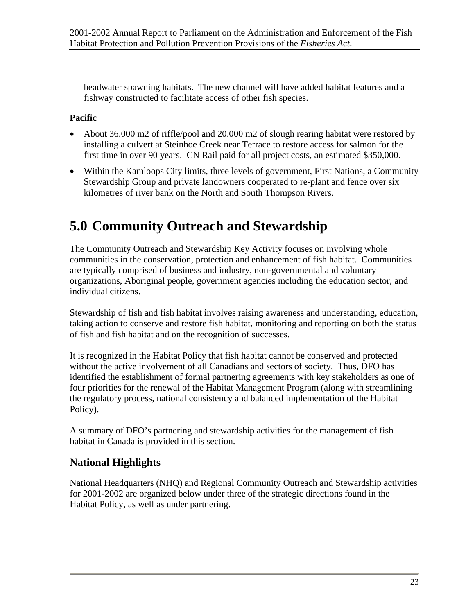<span id="page-30-0"></span>headwater spawning habitats. The new channel will have added habitat features and a fishway constructed to facilitate access of other fish species.

#### **Pacific**

- About 36,000 m2 of riffle/pool and 20,000 m2 of slough rearing habitat were restored by installing a culvert at Steinhoe Creek near Terrace to restore access for salmon for the first time in over 90 years. CN Rail paid for all project costs, an estimated \$350,000.
- Within the Kamloops City limits, three levels of government, First Nations, a Community Stewardship Group and private landowners cooperated to re-plant and fence over six kilometres of river bank on the North and South Thompson Rivers.

## **5.0 Community Outreach and Stewardship**

The Community Outreach and Stewardship Key Activity focuses on involving whole communities in the conservation, protection and enhancement of fish habitat. Communities are typically comprised of business and industry, non-governmental and voluntary organizations, Aboriginal people, government agencies including the education sector, and individual citizens.

Stewardship of fish and fish habitat involves raising awareness and understanding, education, taking action to conserve and restore fish habitat, monitoring and reporting on both the status of fish and fish habitat and on the recognition of successes.

It is recognized in the Habitat Policy that fish habitat cannot be conserved and protected without the active involvement of all Canadians and sectors of society. Thus, DFO has identified the establishment of formal partnering agreements with key stakeholders as one of four priorities for the renewal of the Habitat Management Program (along with streamlining the regulatory process, national consistency and balanced implementation of the Habitat Policy).

A summary of DFO's partnering and stewardship activities for the management of fish habitat in Canada is provided in this section.

#### **National Highlights**

National Headquarters (NHQ) and Regional Community Outreach and Stewardship activities for 2001-2002 are organized below under three of the strategic directions found in the Habitat Policy, as well as under partnering.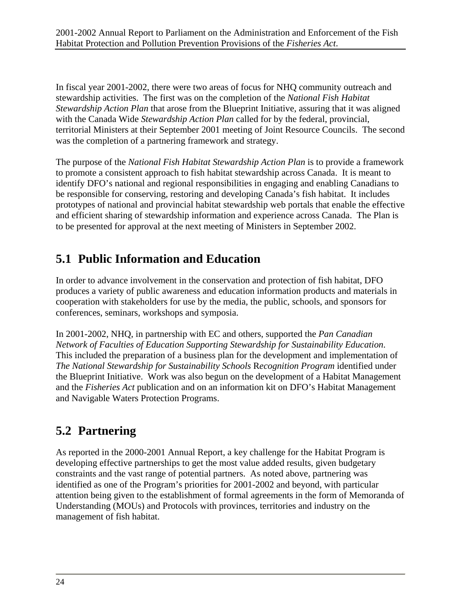<span id="page-31-0"></span>In fiscal year 2001-2002, there were two areas of focus for NHQ community outreach and stewardship activities. The first was on the completion of the *National Fish Habitat Stewardship Action Plan* that arose from the Blueprint Initiative, assuring that it was aligned with the Canada Wide *Stewardship Action Plan* called for by the federal, provincial, territorial Ministers at their September 2001 meeting of Joint Resource Councils. The second was the completion of a partnering framework and strategy.

The purpose of the *National Fish Habitat Stewardship Action Plan* is to provide a framework to promote a consistent approach to fish habitat stewardship across Canada. It is meant to identify DFO's national and regional responsibilities in engaging and enabling Canadians to be responsible for conserving, restoring and developing Canada's fish habitat. It includes prototypes of national and provincial habitat stewardship web portals that enable the effective and efficient sharing of stewardship information and experience across Canada. The Plan is to be presented for approval at the next meeting of Ministers in September 2002.

## **5.1 Public Information and Education**

In order to advance involvement in the conservation and protection of fish habitat, DFO produces a variety of public awareness and education information products and materials in cooperation with stakeholders for use by the media, the public, schools, and sponsors for conferences, seminars, workshops and symposia.

In 2001-2002, NHQ, in partnership with EC and others, supported the *Pan Canadian Network of Faculties of Education Supporting Stewardship for Sustainability Education*. This included the preparation of a business plan for the development and implementation of *The National Stewardship for Sustainability Schools* R*ecognition Program* identified under the Blueprint Initiative. Work was also begun on the development of a Habitat Management and the *Fisheries Act* publication and on an information kit on DFO's Habitat Management and Navigable Waters Protection Programs.

## **5.2 Partnering**

As reported in the 2000-2001 Annual Report, a key challenge for the Habitat Program is developing effective partnerships to get the most value added results, given budgetary constraints and the vast range of potential partners. As noted above, partnering was identified as one of the Program's priorities for 2001-2002 and beyond, with particular attention being given to the establishment of formal agreements in the form of Memoranda of Understanding (MOUs) and Protocols with provinces, territories and industry on the management of fish habitat.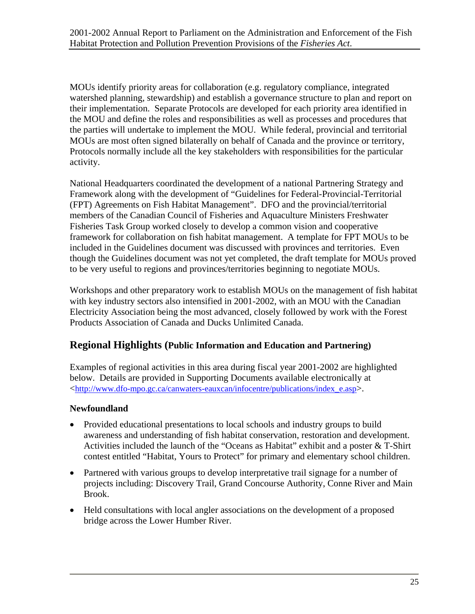MOUs identify priority areas for collaboration (e.g. regulatory compliance, integrated watershed planning, stewardship) and establish a governance structure to plan and report on their implementation. Separate Protocols are developed for each priority area identified in the MOU and define the roles and responsibilities as well as processes and procedures that the parties will undertake to implement the MOU. While federal, provincial and territorial MOUs are most often signed bilaterally on behalf of Canada and the province or territory, Protocols normally include all the key stakeholders with responsibilities for the particular activity.

National Headquarters coordinated the development of a national Partnering Strategy and Framework along with the development of "Guidelines for Federal-Provincial-Territorial (FPT) Agreements on Fish Habitat Management". DFO and the provincial/territorial members of the Canadian Council of Fisheries and Aquaculture Ministers Freshwater Fisheries Task Group worked closely to develop a common vision and cooperative framework for collaboration on fish habitat management. A template for FPT MOUs to be included in the Guidelines document was discussed with provinces and territories. Even though the Guidelines document was not yet completed, the draft template for MOUs proved to be very useful to regions and provinces/territories beginning to negotiate MOUs.

Workshops and other preparatory work to establish MOUs on the management of fish habitat with key industry sectors also intensified in 2001-2002, with an MOU with the Canadian Electricity Association being the most advanced, closely followed by work with the Forest Products Association of Canada and Ducks Unlimited Canada.

#### **Regional Highlights (Public Information and Education and Partnering)**

Examples of regional activities in this area during fiscal year 2001-2002 are highlighted below. Details are provided in Supporting Documents available electronically at <[http://www.dfo-mpo.gc.ca/canwaters-eauxcan/infocentre/publications/index\\_e.asp>](http://www.dfo-mpo.gc.ca/canwaters-eauxcan/infocentre/publications/index_e.asp).

#### **Newfoundland**

- Provided educational presentations to local schools and industry groups to build awareness and understanding of fish habitat conservation, restoration and development. Activities included the launch of the "Oceans as Habitat" exhibit and a poster & T-Shirt contest entitled "Habitat, Yours to Protect" for primary and elementary school children.
- Partnered with various groups to develop interpretative trail signage for a number of projects including: Discovery Trail, Grand Concourse Authority, Conne River and Main Brook.
- Held consultations with local angler associations on the development of a proposed bridge across the Lower Humber River.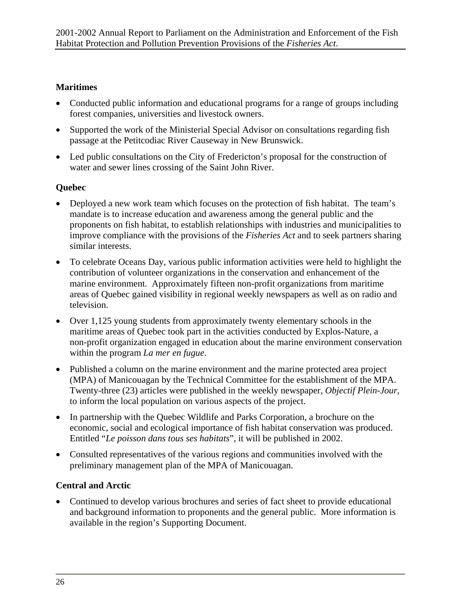#### **Maritimes**

- Conducted public information and educational programs for a range of groups including forest companies, universities and livestock owners.
- Supported the work of the Ministerial Special Advisor on consultations regarding fish passage at the Petitcodiac River Causeway in New Brunswick.
- Led public consultations on the City of Fredericton's proposal for the construction of water and sewer lines crossing of the Saint John River.

#### **Quebec**

- Deployed a new work team which focuses on the protection of fish habitat. The team's mandate is to increase education and awareness among the general public and the proponents on fish habitat, to establish relationships with industries and municipalities to improve compliance with the provisions of the *Fisheries Act* and to seek partners sharing similar interests.
- To celebrate Oceans Day, various public information activities were held to highlight the contribution of volunteer organizations in the conservation and enhancement of the marine environment. Approximately fifteen non-profit organizations from maritime areas of Quebec gained visibility in regional weekly newspapers as well as on radio and television.
- Over 1,125 young students from approximately twenty elementary schools in the maritime areas of Quebec took part in the activities conducted by Explos-Nature, a non-profit organization engaged in education about the marine environment conservation within the program *La mer en fugue*.
- Published a column on the marine environment and the marine protected area project (MPA) of Manicouagan by the Technical Committee for the establishment of the MPA. Twenty-three (23) articles were published in the weekly newspaper, *Objectif Plein-Jour*, to inform the local population on various aspects of the project.
- In partnership with the Quebec Wildlife and Parks Corporation, a brochure on the economic, social and ecological importance of fish habitat conservation was produced. Entitled "*Le poisson dans tous ses habitats*", it will be published in 2002.
- Consulted representatives of the various regions and communities involved with the preliminary management plan of the MPA of Manicouagan.

#### **Central and Arctic**

• Continued to develop various brochures and series of fact sheet to provide educational and background information to proponents and the general public. More information is available in the region's Supporting Document.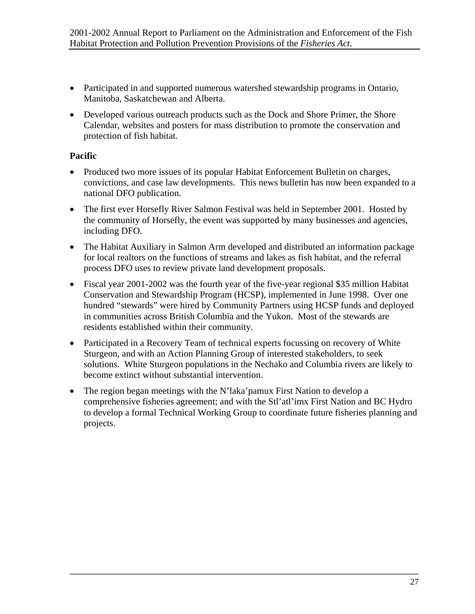- Participated in and supported numerous watershed stewardship programs in Ontario, Manitoba, Saskatchewan and Alberta.
- Developed various outreach products such as the Dock and Shore Primer, the Shore Calendar, websites and posters for mass distribution to promote the conservation and protection of fish habitat.

#### **Pacific**

- Produced two more issues of its popular Habitat Enforcement Bulletin on charges, convictions, and case law developments. This news bulletin has now been expanded to a national DFO publication.
- The first ever Horsefly River Salmon Festival was held in September 2001. Hosted by the community of Horsefly, the event was supported by many businesses and agencies, including DFO.
- The Habitat Auxiliary in Salmon Arm developed and distributed an information package for local realtors on the functions of streams and lakes as fish habitat, and the referral process DFO uses to review private land development proposals.
- Fiscal year 2001-2002 was the fourth year of the five-year regional \$35 million Habitat Conservation and Stewardship Program (HCSP), implemented in June 1998. Over one hundred "stewards" were hired by Community Partners using HCSP funds and deployed in communities across British Columbia and the Yukon. Most of the stewards are residents established within their community.
- Participated in a Recovery Team of technical experts focussing on recovery of White Sturgeon, and with an Action Planning Group of interested stakeholders, to seek solutions. White Sturgeon populations in the Nechako and Columbia rivers are likely to become extinct without substantial intervention.
- The region began meetings with the N'laka' pamux First Nation to develop a comprehensive fisheries agreement; and with the Stl'atl'imx First Nation and BC Hydro to develop a formal Technical Working Group to coordinate future fisheries planning and projects.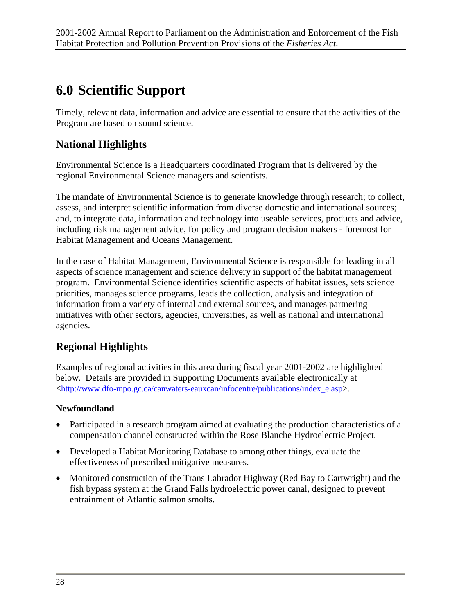## <span id="page-35-0"></span>**6.0 Scientific Support**

Timely, relevant data, information and advice are essential to ensure that the activities of the Program are based on sound science.

### **National Highlights**

Environmental Science is a Headquarters coordinated Program that is delivered by the regional Environmental Science managers and scientists.

The mandate of Environmental Science is to generate knowledge through research; to collect, assess, and interpret scientific information from diverse domestic and international sources; and, to integrate data, information and technology into useable services, products and advice, including risk management advice, for policy and program decision makers - foremost for Habitat Management and Oceans Management.

In the case of Habitat Management, Environmental Science is responsible for leading in all aspects of science management and science delivery in support of the habitat management program. Environmental Science identifies scientific aspects of habitat issues, sets science priorities, manages science programs, leads the collection, analysis and integration of information from a variety of internal and external sources, and manages partnering initiatives with other sectors, agencies, universities, as well as national and international agencies.

### **Regional Highlights**

Examples of regional activities in this area during fiscal year 2001-2002 are highlighted below. Details are provided in Supporting Documents available electronically at <[http://www.dfo-mpo.gc.ca/canwaters-eauxcan/infocentre/publications/index\\_e.asp>](http://www.dfo-mpo.gc.ca/canwaters-eauxcan/infocentre/publications/index_e.asp).

#### **Newfoundland**

- Participated in a research program aimed at evaluating the production characteristics of a compensation channel constructed within the Rose Blanche Hydroelectric Project.
- Developed a Habitat Monitoring Database to among other things, evaluate the effectiveness of prescribed mitigative measures.
- Monitored construction of the Trans Labrador Highway (Red Bay to Cartwright) and the fish bypass system at the Grand Falls hydroelectric power canal, designed to prevent entrainment of Atlantic salmon smolts.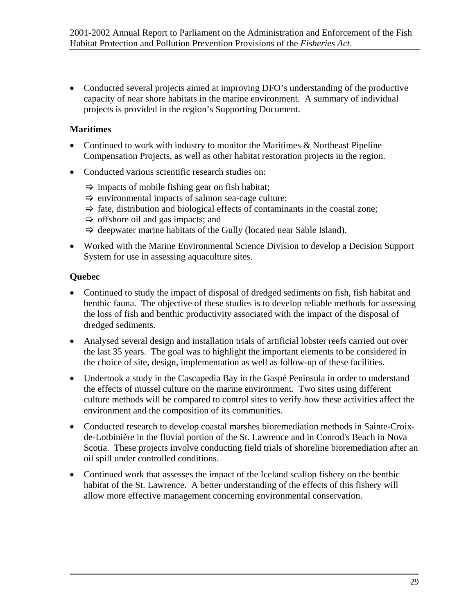• Conducted several projects aimed at improving DFO's understanding of the productive capacity of near shore habitats in the marine environment. A summary of individual projects is provided in the region's Supporting Document.

#### **Maritimes**

- Continued to work with industry to monitor the Maritimes & Northeast Pipeline Compensation Projects, as well as other habitat restoration projects in the region.
- Conducted various scientific research studies on:
	- $\Rightarrow$  impacts of mobile fishing gear on fish habitat;
	- $\Rightarrow$  environmental impacts of salmon sea-cage culture;
	- $\Rightarrow$  fate, distribution and biological effects of contaminants in the coastal zone;
	- $\Rightarrow$  offshore oil and gas impacts; and
	- $\Rightarrow$  deepwater marine habitats of the Gully (located near Sable Island).
- Worked with the Marine Environmental Science Division to develop a Decision Support System for use in assessing aquaculture sites.

#### **Quebec**

- Continued to study the impact of disposal of dredged sediments on fish, fish habitat and benthic fauna. The objective of these studies is to develop reliable methods for assessing the loss of fish and benthic productivity associated with the impact of the disposal of dredged sediments.
- Analysed several design and installation trials of artificial lobster reefs carried out over the last 35 years. The goal was to highlight the important elements to be considered in the choice of site, design, implementation as well as follow-up of these facilities.
- Undertook a study in the Cascapedia Bay in the Gaspé Peninsula in order to understand the effects of mussel culture on the marine environment. Two sites using different culture methods will be compared to control sites to verify how these activities affect the environment and the composition of its communities.
- Conducted research to develop coastal marshes bioremediation methods in Sainte-Croixde-Lotbinière in the fluvial portion of the St. Lawrence and in Conrod's Beach in Nova Scotia. These projects involve conducting field trials of shoreline bioremediation after an oil spill under controlled conditions.
- Continued work that assesses the impact of the Iceland scallop fishery on the benthic habitat of the St. Lawrence. A better understanding of the effects of this fishery will allow more effective management concerning environmental conservation.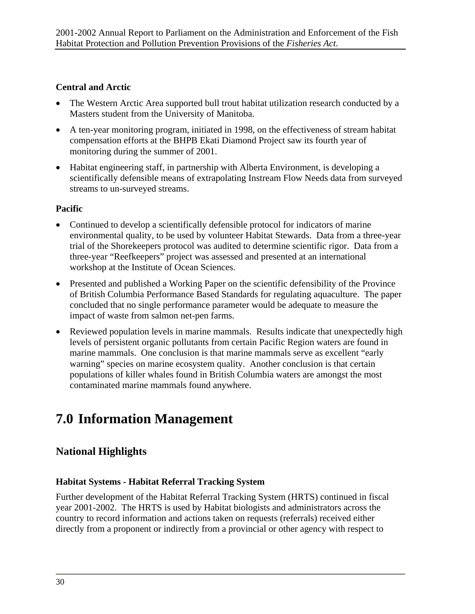#### <span id="page-37-0"></span>**Central and Arctic**

- The Western Arctic Area supported bull trout habitat utilization research conducted by a Masters student from the University of Manitoba.
- A ten-year monitoring program, initiated in 1998, on the effectiveness of stream habitat compensation efforts at the BHPB Ekati Diamond Project saw its fourth year of monitoring during the summer of 2001.
- Habitat engineering staff, in partnership with Alberta Environment, is developing a scientifically defensible means of extrapolating Instream Flow Needs data from surveyed streams to un-surveyed streams.

#### **Pacific**

- Continued to develop a scientifically defensible protocol for indicators of marine environmental quality, to be used by volunteer Habitat Stewards. Data from a three-year trial of the Shorekeepers protocol was audited to determine scientific rigor. Data from a three-year "Reefkeepers" project was assessed and presented at an international workshop at the Institute of Ocean Sciences.
- Presented and published a Working Paper on the scientific defensibility of the Province of British Columbia Performance Based Standards for regulating aquaculture. The paper concluded that no single performance parameter would be adequate to measure the impact of waste from salmon net-pen farms.
- Reviewed population levels in marine mammals. Results indicate that unexpectedly high levels of persistent organic pollutants from certain Pacific Region waters are found in marine mammals. One conclusion is that marine mammals serve as excellent "early warning" species on marine ecosystem quality. Another conclusion is that certain populations of killer whales found in British Columbia waters are amongst the most contaminated marine mammals found anywhere.

## **7.0 Information Management**

### **National Highlights**

#### **Habitat Systems - Habitat Referral Tracking System**

Further development of the Habitat Referral Tracking System (HRTS) continued in fiscal year 2001-2002. The HRTS is used by Habitat biologists and administrators across the country to record information and actions taken on requests (referrals) received either directly from a proponent or indirectly from a provincial or other agency with respect to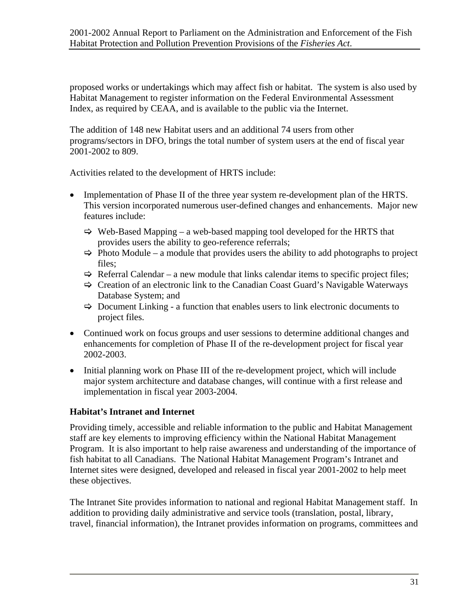proposed works or undertakings which may affect fish or habitat. The system is also used by Habitat Management to register information on the Federal Environmental Assessment Index, as required by CEAA, and is available to the public via the Internet.

The addition of 148 new Habitat users and an additional 74 users from other programs/sectors in DFO, brings the total number of system users at the end of fiscal year 2001-2002 to 809.

Activities related to the development of HRTS include:

- Implementation of Phase II of the three year system re-development plan of the HRTS. This version incorporated numerous user-defined changes and enhancements. Major new features include:
	- $\Rightarrow$  Web-Based Mapping a web-based mapping tool developed for the HRTS that provides users the ability to geo-reference referrals;
	- $\Rightarrow$  Photo Module a module that provides users the ability to add photographs to project files;
	- $\Rightarrow$  Referral Calendar a new module that links calendar items to specific project files;
	- $\Rightarrow$  Creation of an electronic link to the Canadian Coast Guard's Navigable Waterways Database System; and
	- $\Rightarrow$  Document Linking a function that enables users to link electronic documents to project files.
- Continued work on focus groups and user sessions to determine additional changes and enhancements for completion of Phase II of the re-development project for fiscal year 2002-2003.
- Initial planning work on Phase III of the re-development project, which will include major system architecture and database changes, will continue with a first release and implementation in fiscal year 2003-2004.

#### **Habitat's Intranet and Internet**

Providing timely, accessible and reliable information to the public and Habitat Management staff are key elements to improving efficiency within the National Habitat Management Program. It is also important to help raise awareness and understanding of the importance of fish habitat to all Canadians. The National Habitat Management Program's Intranet and Internet sites were designed, developed and released in fiscal year 2001-2002 to help meet these objectives.

The Intranet Site provides information to national and regional Habitat Management staff. In addition to providing daily administrative and service tools (translation, postal, library, travel, financial information), the Intranet provides information on programs, committees and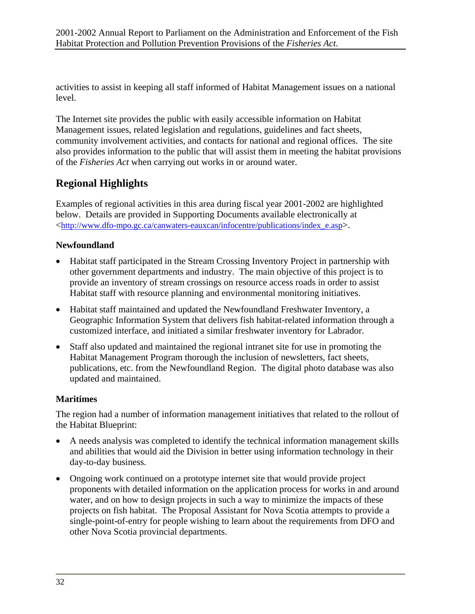activities to assist in keeping all staff informed of Habitat Management issues on a national level.

The Internet site provides the public with easily accessible information on Habitat Management issues, related legislation and regulations, guidelines and fact sheets, community involvement activities, and contacts for national and regional offices. The site also provides information to the public that will assist them in meeting the habitat provisions of the *Fisheries Act* when carrying out works in or around water.

### **Regional Highlights**

Examples of regional activities in this area during fiscal year 2001-2002 are highlighted below. Details are provided in Supporting Documents available electronically at <[http://www.dfo-mpo.gc.ca/canwaters-eauxcan/infocentre/publications/index\\_e.asp>](http://www.dfo-mpo.gc.ca/canwaters-eauxcan/infocentre/publications/index_e.asp).

#### **Newfoundland**

- Habitat staff participated in the Stream Crossing Inventory Project in partnership with other government departments and industry. The main objective of this project is to provide an inventory of stream crossings on resource access roads in order to assist Habitat staff with resource planning and environmental monitoring initiatives.
- Habitat staff maintained and updated the Newfoundland Freshwater Inventory, a Geographic Information System that delivers fish habitat-related information through a customized interface, and initiated a similar freshwater inventory for Labrador.
- Staff also updated and maintained the regional intranet site for use in promoting the Habitat Management Program thorough the inclusion of newsletters, fact sheets, publications, etc. from the Newfoundland Region. The digital photo database was also updated and maintained.

#### **Maritimes**

The region had a number of information management initiatives that related to the rollout of the Habitat Blueprint:

- A needs analysis was completed to identify the technical information management skills and abilities that would aid the Division in better using information technology in their day-to-day business.
- Ongoing work continued on a prototype internet site that would provide project proponents with detailed information on the application process for works in and around water, and on how to design projects in such a way to minimize the impacts of these projects on fish habitat. The Proposal Assistant for Nova Scotia attempts to provide a single-point-of-entry for people wishing to learn about the requirements from DFO and other Nova Scotia provincial departments.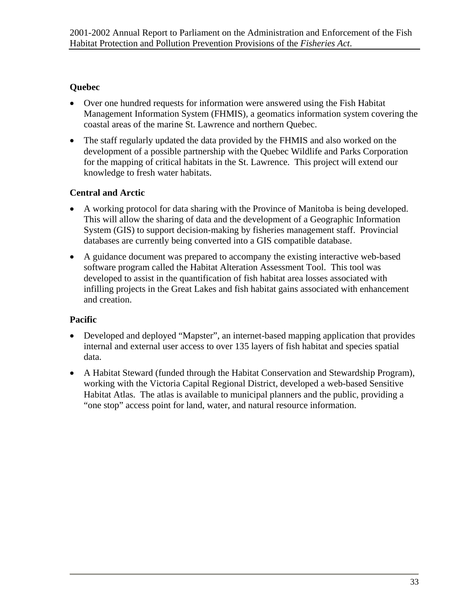#### **Quebec**

- Over one hundred requests for information were answered using the Fish Habitat Management Information System (FHMIS), a geomatics information system covering the coastal areas of the marine St. Lawrence and northern Quebec.
- The staff regularly updated the data provided by the FHMIS and also worked on the development of a possible partnership with the Quebec Wildlife and Parks Corporation for the mapping of critical habitats in the St. Lawrence. This project will extend our knowledge to fresh water habitats.

#### **Central and Arctic**

- A working protocol for data sharing with the Province of Manitoba is being developed. This will allow the sharing of data and the development of a Geographic Information System (GIS) to support decision-making by fisheries management staff. Provincial databases are currently being converted into a GIS compatible database.
- A guidance document was prepared to accompany the existing interactive web-based software program called the Habitat Alteration Assessment Tool. This tool was developed to assist in the quantification of fish habitat area losses associated with infilling projects in the Great Lakes and fish habitat gains associated with enhancement and creation.

#### **Pacific**

- Developed and deployed "Mapster", an internet-based mapping application that provides internal and external user access to over 135 layers of fish habitat and species spatial data.
- A Habitat Steward (funded through the Habitat Conservation and Stewardship Program), working with the Victoria Capital Regional District, developed a web-based Sensitive Habitat Atlas. The atlas is available to municipal planners and the public, providing a "one stop" access point for land, water, and natural resource information.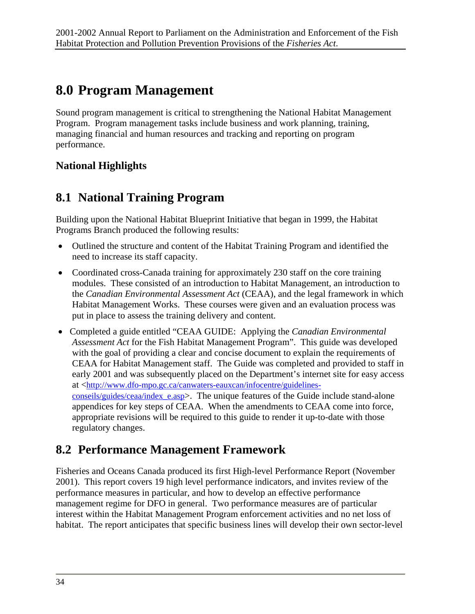## <span id="page-41-0"></span>**8.0 Program Management**

Sound program management is critical to strengthening the National Habitat Management Program. Program management tasks include business and work planning, training, managing financial and human resources and tracking and reporting on program performance.

### **National Highlights**

## **8.1 National Training Program**

Building upon the National Habitat Blueprint Initiative that began in 1999, the Habitat Programs Branch produced the following results:

- Outlined the structure and content of the Habitat Training Program and identified the need to increase its staff capacity.
- Coordinated cross-Canada training for approximately 230 staff on the core training modules. These consisted of an introduction to Habitat Management, an introduction to the *Canadian Environmental Assessment Act* (CEAA), and the legal framework in which Habitat Management Works. These courses were given and an evaluation process was put in place to assess the training delivery and content.
- Completed a guide entitled "CEAA GUIDE: Applying the *Canadian Environmental Assessment Act* for the Fish Habitat Management Program". This guide was developed with the goal of providing a clear and concise document to explain the requirements of CEAA for Habitat Management staff. The Guide was completed and provided to staff in early 2001 and was subsequently placed on the Department's internet site for easy access at [<http://www.dfo-mpo.gc.ca/canwaters-eauxcan/infocentre/guidelines](http://www.dfo-mpo.gc.ca/canwaters-eauxcan/infocentre/guidelines-conseils/guides/ceaa/index_e.asp)[conseils/guides/ceaa/index\\_e.asp](http://www.dfo-mpo.gc.ca/canwaters-eauxcan/infocentre/guidelines-conseils/guides/ceaa/index_e.asp)>. The unique features of the Guide include stand-alone appendices for key steps of CEAA. When the amendments to CEAA come into force, appropriate revisions will be required to this guide to render it up-to-date with those regulatory changes.

## **8.2 Performance Management Framework**

Fisheries and Oceans Canada produced its first High-level Performance Report (November 2001). This report covers 19 high level performance indicators, and invites review of the performance measures in particular, and how to develop an effective performance management regime for DFO in general. Two performance measures are of particular interest within the Habitat Management Program enforcement activities and no net loss of habitat. The report anticipates that specific business lines will develop their own sector-level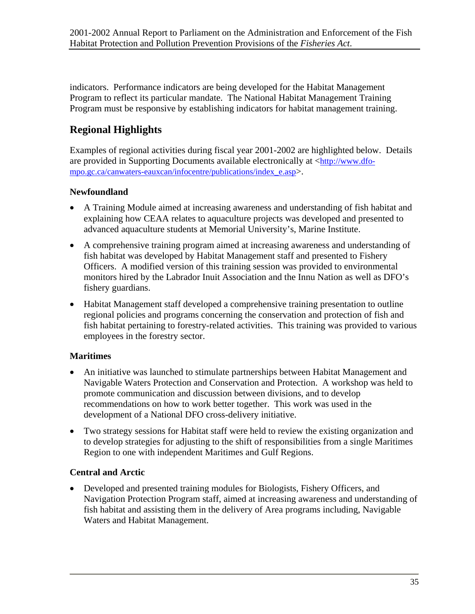indicators. Performance indicators are being developed for the Habitat Management Program to reflect its particular mandate. The National Habitat Management Training Program must be responsive by establishing indicators for habitat management training.

### **Regional Highlights**

Examples of regional activities during fiscal year 2001-2002 are highlighted below. Details are provided in Supporting Documents available electronically at  $\langle \frac{http://www.dfo-1}{http://www.dfo-1} \rangle$ [mpo.gc.ca/canwaters-eauxcan/infocentre/publications/index\\_e.asp>](http://www.dfo-mpo.gc.ca/canwaters-eauxcan/infocentre/publications/index_e.asp).

#### **Newfoundland**

- A Training Module aimed at increasing awareness and understanding of fish habitat and explaining how CEAA relates to aquaculture projects was developed and presented to advanced aquaculture students at Memorial University's, Marine Institute.
- A comprehensive training program aimed at increasing awareness and understanding of fish habitat was developed by Habitat Management staff and presented to Fishery Officers. A modified version of this training session was provided to environmental monitors hired by the Labrador Inuit Association and the Innu Nation as well as DFO's fishery guardians.
- Habitat Management staff developed a comprehensive training presentation to outline regional policies and programs concerning the conservation and protection of fish and fish habitat pertaining to forestry-related activities. This training was provided to various employees in the forestry sector.

#### **Maritimes**

- An initiative was launched to stimulate partnerships between Habitat Management and Navigable Waters Protection and Conservation and Protection. A workshop was held to promote communication and discussion between divisions, and to develop recommendations on how to work better together. This work was used in the development of a National DFO cross-delivery initiative.
- Two strategy sessions for Habitat staff were held to review the existing organization and to develop strategies for adjusting to the shift of responsibilities from a single Maritimes Region to one with independent Maritimes and Gulf Regions.

#### **Central and Arctic**

• Developed and presented training modules for Biologists, Fishery Officers, and Navigation Protection Program staff, aimed at increasing awareness and understanding of fish habitat and assisting them in the delivery of Area programs including, Navigable Waters and Habitat Management.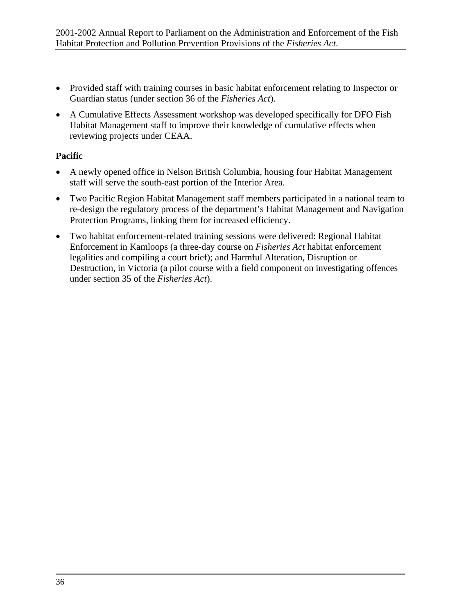- Provided staff with training courses in basic habitat enforcement relating to Inspector or Guardian status (under section 36 of the *Fisheries Act*).
- A Cumulative Effects Assessment workshop was developed specifically for DFO Fish Habitat Management staff to improve their knowledge of cumulative effects when reviewing projects under CEAA.

#### **Pacific**

- A newly opened office in Nelson British Columbia, housing four Habitat Management staff will serve the south-east portion of the Interior Area.
- Two Pacific Region Habitat Management staff members participated in a national team to re-design the regulatory process of the department's Habitat Management and Navigation Protection Programs, linking them for increased efficiency.
- Two habitat enforcement-related training sessions were delivered: Regional Habitat Enforcement in Kamloops (a three-day course on *Fisheries Act* habitat enforcement legalities and compiling a court brief); and Harmful Alteration, Disruption or Destruction, in Victoria (a pilot course with a field component on investigating offences under section 35 of the *Fisheries Act*).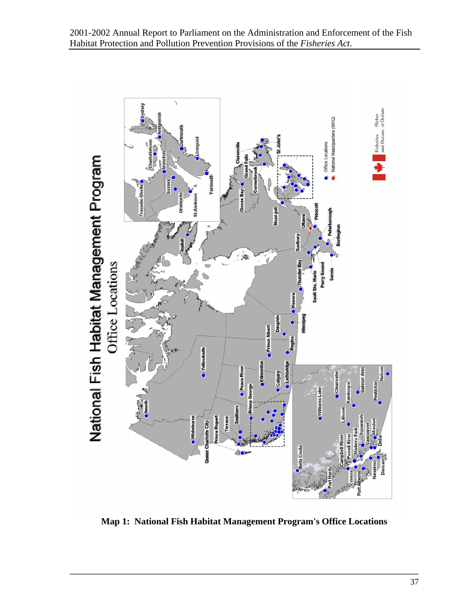<span id="page-44-0"></span>

**Map 1: National Fish Habitat Management Program's Office Locations**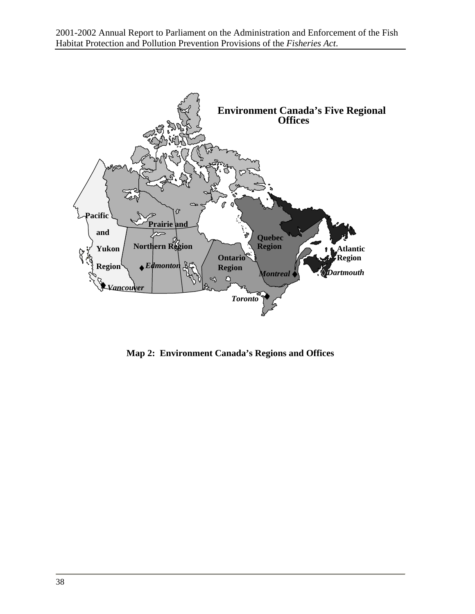<span id="page-45-0"></span>2001-2002 Annual Report to Parliament on the Administration and Enforcement of the Fish Habitat Protection and Pollution Prevention Provisions of the *Fisheries Act*.



**Map 2: Environment Canada's Regions and Offices**